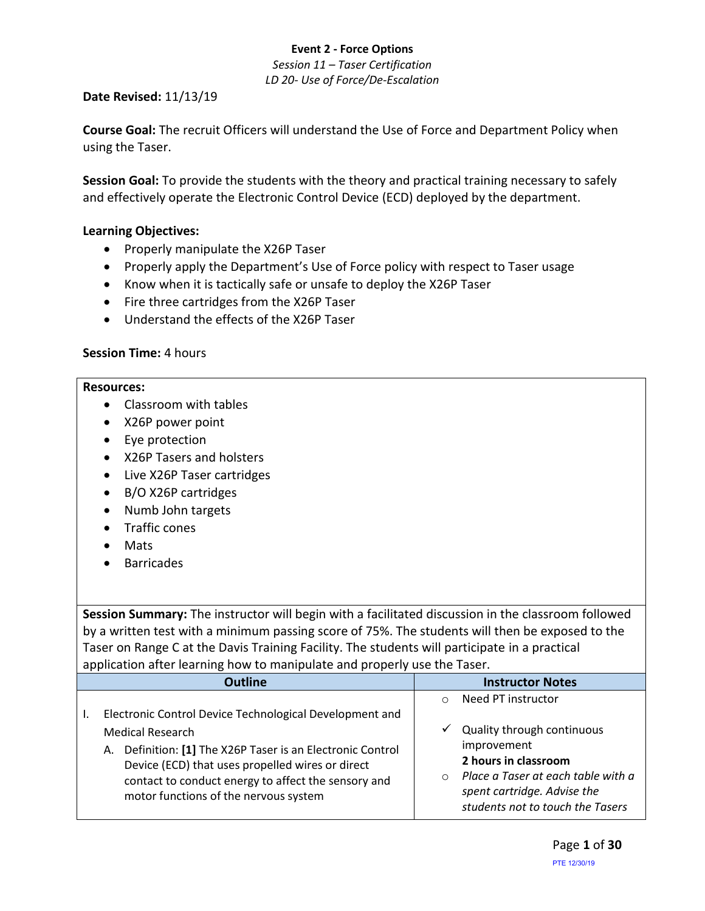*Session 11 – Taser Certification LD 20- Use of Force/De-Escalation*

#### **Date Revised:** 11/13/19

**Course Goal:** The recruit Officers will understand the Use of Force and Department Policy when using the Taser.

**Session Goal:** To provide the students with the theory and practical training necessary to safely and effectively operate the Electronic Control Device (ECD) deployed by the department.

#### **Learning Objectives:**

- Properly manipulate the X26P Taser
- Properly apply the Department's Use of Force policy with respect to Taser usage
- Know when it is tactically safe or unsafe to deploy the X26P Taser
- Fire three cartridges from the X26P Taser
- Understand the effects of the X26P Taser

#### **Session Time:** 4 hours

#### **Resources:**

- Classroom with tables
- X26P power point
- Eye protection
- X26P Tasers and holsters
- Live X26P Taser cartridges
- B/O X26P cartridges
- Numb John targets
- Traffic cones
- Mats
- Barricades

**Session Summary:** The instructor will begin with a facilitated discussion in the classroom followed by a written test with a minimum passing score of 75%. The students will then be exposed to the Taser on Range C at the Davis Training Facility. The students will participate in a practical application after learning how to manipulate and properly use the Taser.

| <b>Outline</b>                                                                                                                                                                                                                                                                                       | <b>Instructor Notes</b>                                                                                                                                                                                                     |
|------------------------------------------------------------------------------------------------------------------------------------------------------------------------------------------------------------------------------------------------------------------------------------------------------|-----------------------------------------------------------------------------------------------------------------------------------------------------------------------------------------------------------------------------|
| Electronic Control Device Technological Development and<br><b>Medical Research</b><br>A. Definition: [1] The X26P Taser is an Electronic Control<br>Device (ECD) that uses propelled wires or direct<br>contact to conduct energy to affect the sensory and<br>motor functions of the nervous system | Need PT instructor<br>$\circ$<br>Quality through continuous<br>✓<br>improvement<br>2 hours in classroom<br>Place a Taser at each table with a<br>$\circ$<br>spent cartridge. Advise the<br>students not to touch the Tasers |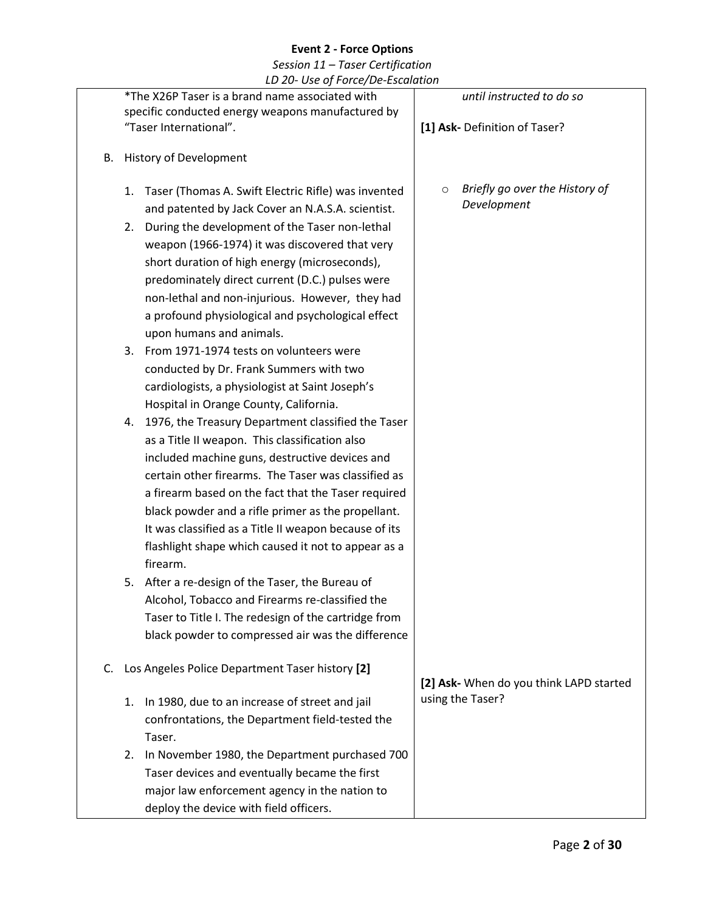|    |                               | LD 20- OSE OJ FOICE/DE-ESCUIUTION                                                                        |                                                          |
|----|-------------------------------|----------------------------------------------------------------------------------------------------------|----------------------------------------------------------|
|    |                               | *The X26P Taser is a brand name associated with<br>specific conducted energy weapons manufactured by     | until instructed to do so                                |
|    |                               | "Taser International".                                                                                   | [1] Ask- Definition of Taser?                            |
| В. | <b>History of Development</b> |                                                                                                          |                                                          |
|    | 1.                            | Taser (Thomas A. Swift Electric Rifle) was invented<br>and patented by Jack Cover an N.A.S.A. scientist. | Briefly go over the History of<br>$\circ$<br>Development |
|    | 2.                            | During the development of the Taser non-lethal                                                           |                                                          |
|    |                               | weapon (1966-1974) it was discovered that very                                                           |                                                          |
|    |                               | short duration of high energy (microseconds),                                                            |                                                          |
|    |                               | predominately direct current (D.C.) pulses were                                                          |                                                          |
|    |                               | non-lethal and non-injurious. However, they had                                                          |                                                          |
|    |                               | a profound physiological and psychological effect                                                        |                                                          |
|    |                               | upon humans and animals.                                                                                 |                                                          |
|    | 3.                            | From 1971-1974 tests on volunteers were                                                                  |                                                          |
|    |                               | conducted by Dr. Frank Summers with two                                                                  |                                                          |
|    |                               | cardiologists, a physiologist at Saint Joseph's                                                          |                                                          |
|    |                               | Hospital in Orange County, California.                                                                   |                                                          |
|    | 4.                            | 1976, the Treasury Department classified the Taser                                                       |                                                          |
|    |                               | as a Title II weapon. This classification also                                                           |                                                          |
|    |                               | included machine guns, destructive devices and                                                           |                                                          |
|    |                               | certain other firearms. The Taser was classified as                                                      |                                                          |
|    |                               | a firearm based on the fact that the Taser required                                                      |                                                          |
|    |                               | black powder and a rifle primer as the propellant.                                                       |                                                          |
|    |                               | It was classified as a Title II weapon because of its                                                    |                                                          |
|    |                               | flashlight shape which caused it not to appear as a<br>firearm.                                          |                                                          |
|    | 5.                            | After a re-design of the Taser, the Bureau of                                                            |                                                          |
|    |                               | Alcohol, Tobacco and Firearms re-classified the                                                          |                                                          |
|    |                               | Taser to Title I. The redesign of the cartridge from                                                     |                                                          |
|    |                               | black powder to compressed air was the difference                                                        |                                                          |
| C. |                               | Los Angeles Police Department Taser history [2]                                                          | [2] Ask- When do you think LAPD started                  |
|    | 1.                            | In 1980, due to an increase of street and jail                                                           | using the Taser?                                         |
|    |                               | confrontations, the Department field-tested the                                                          |                                                          |
|    |                               | Taser.                                                                                                   |                                                          |
|    | 2.                            | In November 1980, the Department purchased 700                                                           |                                                          |
|    |                               | Taser devices and eventually became the first                                                            |                                                          |
|    |                               | major law enforcement agency in the nation to                                                            |                                                          |
|    |                               | deploy the device with field officers.                                                                   |                                                          |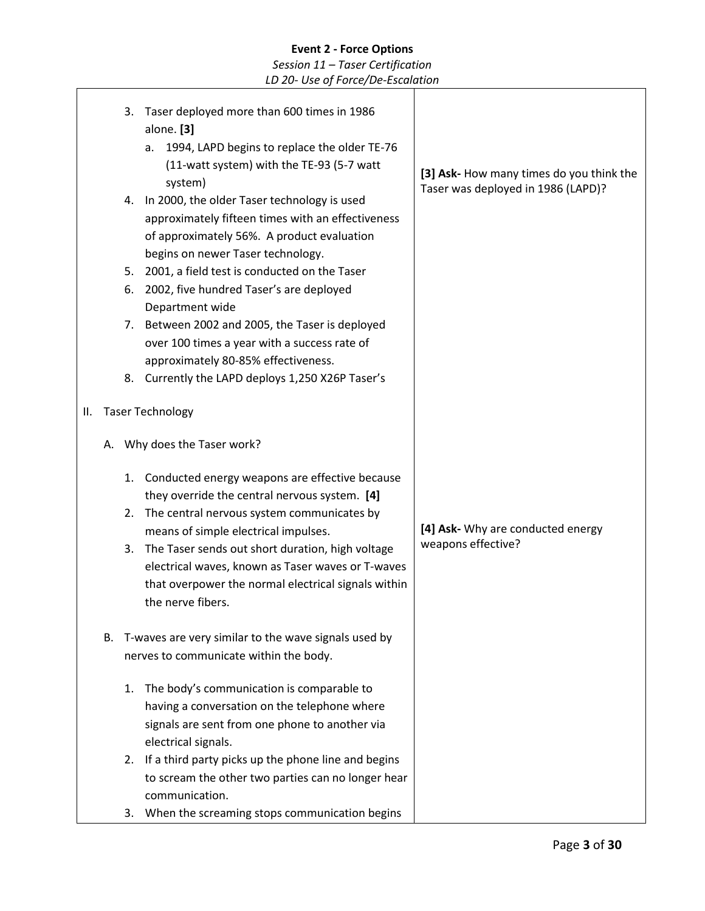*Session 11 – Taser Certification LD 20- Use of Force/De-Escalation*

3. Taser deployed more than 600 times in 1986 alone. **[3]** a. 1994, LAPD begins to replace the older TE-76 (11-watt system) with the TE-93 (5-7 watt system) 4. In 2000, the older Taser technology is used approximately fifteen times with an effectiveness of approximately 56%. A product evaluation begins on newer Taser technology. 5. 2001, a field test is conducted on the Taser 6. 2002, five hundred Taser's are deployed Department wide 7. Between 2002 and 2005, the Taser is deployed over 100 times a year with a success rate of approximately 80-85% effectiveness. 8. Currently the LAPD deploys 1,250 X26P Taser's II. Taser Technology A. Why does the Taser work? 1. Conducted energy weapons are effective because they override the central nervous system. **[4]** 2. The central nervous system communicates by means of simple electrical impulses. 3. The Taser sends out short duration, high voltage electrical waves, known as Taser waves or T-waves that overpower the normal electrical signals within the nerve fibers. B. T-waves are very similar to the wave signals used by nerves to communicate within the body. 1. The body's communication is comparable to having a conversation on the telephone where signals are sent from one phone to another via electrical signals. 2. If a third party picks up the phone line and begins to scream the other two parties can no longer hear communication. 3. When the screaming stops communication begins **[3] Ask-** How many times do you think the Taser was deployed in 1986 (LAPD)? **[4] Ask-** Why are conducted energy weapons effective?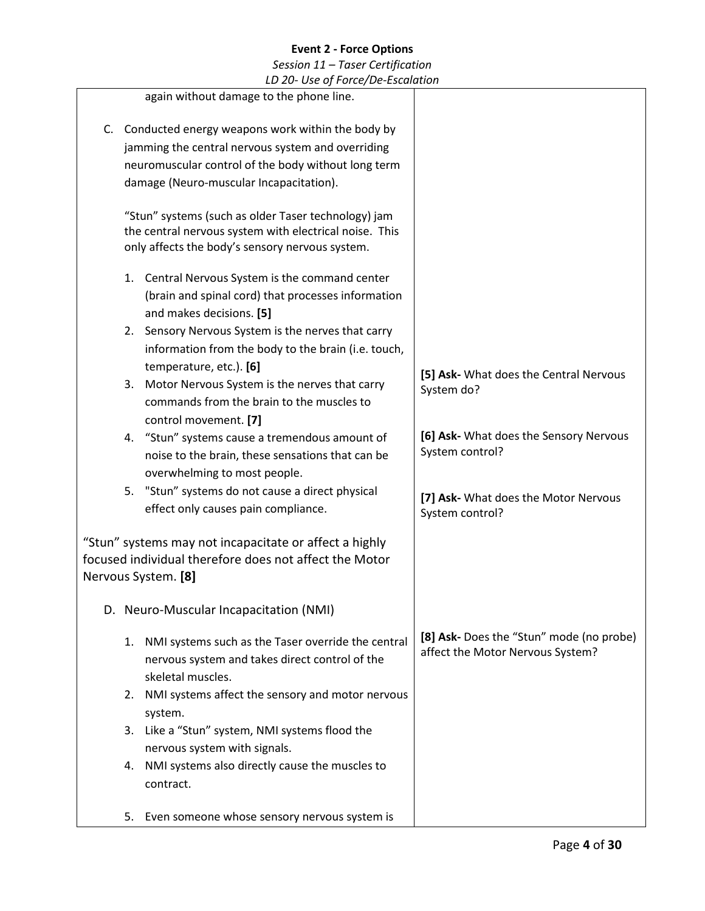| LD 20- Use of Force/De-Escalation                                                                                                                                                                          |                                                                              |
|------------------------------------------------------------------------------------------------------------------------------------------------------------------------------------------------------------|------------------------------------------------------------------------------|
| again without damage to the phone line.                                                                                                                                                                    |                                                                              |
| C. Conducted energy weapons work within the body by<br>jamming the central nervous system and overriding<br>neuromuscular control of the body without long term<br>damage (Neuro-muscular Incapacitation). |                                                                              |
| "Stun" systems (such as older Taser technology) jam<br>the central nervous system with electrical noise. This<br>only affects the body's sensory nervous system.                                           |                                                                              |
| 1. Central Nervous System is the command center<br>(brain and spinal cord) that processes information<br>and makes decisions. [5]                                                                          |                                                                              |
| Sensory Nervous System is the nerves that carry<br>2.<br>information from the body to the brain (i.e. touch,<br>temperature, etc.). [6]                                                                    |                                                                              |
| Motor Nervous System is the nerves that carry<br>3.<br>commands from the brain to the muscles to<br>control movement. [7]                                                                                  | [5] Ask- What does the Central Nervous<br>System do?                         |
| "Stun" systems cause a tremendous amount of<br>4.<br>noise to the brain, these sensations that can be<br>overwhelming to most people.                                                                      | [6] Ask- What does the Sensory Nervous<br>System control?                    |
| 5. "Stun" systems do not cause a direct physical<br>effect only causes pain compliance.                                                                                                                    | [7] Ask- What does the Motor Nervous<br>System control?                      |
| "Stun" systems may not incapacitate or affect a highly<br>focused individual therefore does not affect the Motor<br>Nervous System. [8]                                                                    |                                                                              |
| D. Neuro-Muscular Incapacitation (NMI)                                                                                                                                                                     |                                                                              |
| NMI systems such as the Taser override the central<br>1.<br>nervous system and takes direct control of the<br>skeletal muscles.                                                                            | [8] Ask- Does the "Stun" mode (no probe)<br>affect the Motor Nervous System? |
| NMI systems affect the sensory and motor nervous<br>2.<br>system.                                                                                                                                          |                                                                              |
| Like a "Stun" system, NMI systems flood the<br>3.<br>nervous system with signals.                                                                                                                          |                                                                              |
| NMI systems also directly cause the muscles to<br>4.<br>contract.                                                                                                                                          |                                                                              |
| Even someone whose sensory nervous system is<br>5.                                                                                                                                                         |                                                                              |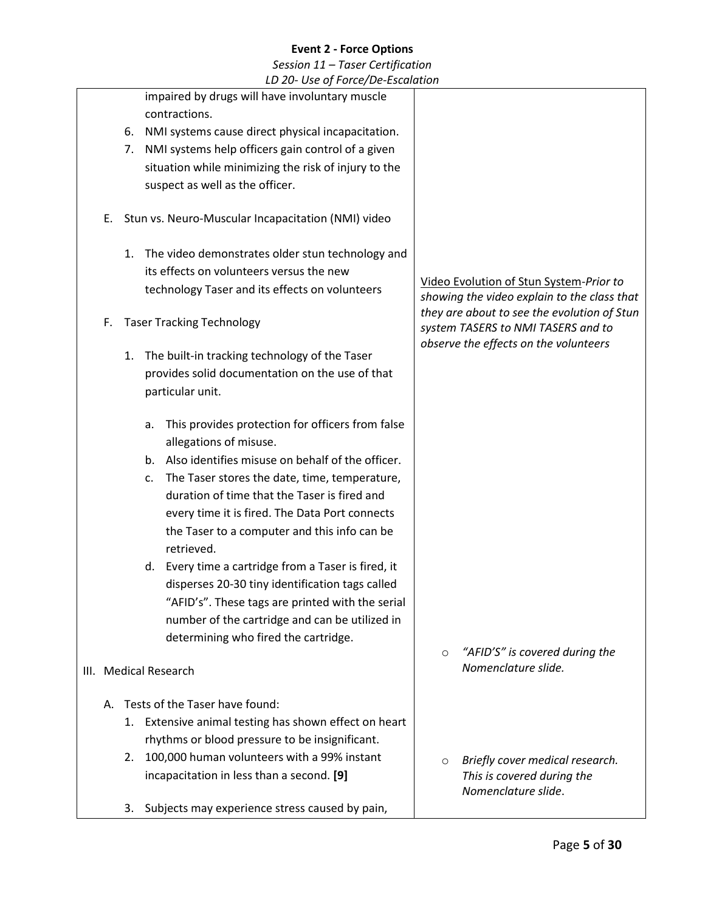|    |    | LD 20- Use of Force/De-Escalation                      |         |                                                                                        |
|----|----|--------------------------------------------------------|---------|----------------------------------------------------------------------------------------|
|    |    | impaired by drugs will have involuntary muscle         |         |                                                                                        |
|    |    | contractions.                                          |         |                                                                                        |
|    | 6. | NMI systems cause direct physical incapacitation.      |         |                                                                                        |
|    | 7. | NMI systems help officers gain control of a given      |         |                                                                                        |
|    |    | situation while minimizing the risk of injury to the   |         |                                                                                        |
|    |    | suspect as well as the officer.                        |         |                                                                                        |
| Е. |    | Stun vs. Neuro-Muscular Incapacitation (NMI) video     |         |                                                                                        |
|    | 1. | The video demonstrates older stun technology and       |         |                                                                                        |
|    |    | its effects on volunteers versus the new               |         |                                                                                        |
|    |    | technology Taser and its effects on volunteers         |         | Video Evolution of Stun System-Prior to<br>showing the video explain to the class that |
| F. |    | <b>Taser Tracking Technology</b>                       |         | they are about to see the evolution of Stun<br>system TASERS to NMI TASERS and to      |
|    | 1. | The built-in tracking technology of the Taser          |         | observe the effects on the volunteers                                                  |
|    |    | provides solid documentation on the use of that        |         |                                                                                        |
|    |    | particular unit.                                       |         |                                                                                        |
|    |    |                                                        |         |                                                                                        |
|    |    | This provides protection for officers from false<br>a. |         |                                                                                        |
|    |    | allegations of misuse.                                 |         |                                                                                        |
|    |    | b. Also identifies misuse on behalf of the officer.    |         |                                                                                        |
|    |    | The Taser stores the date, time, temperature,<br>c.    |         |                                                                                        |
|    |    | duration of time that the Taser is fired and           |         |                                                                                        |
|    |    | every time it is fired. The Data Port connects         |         |                                                                                        |
|    |    | the Taser to a computer and this info can be           |         |                                                                                        |
|    |    | retrieved.                                             |         |                                                                                        |
|    |    | d. Every time a cartridge from a Taser is fired, it    |         |                                                                                        |
|    |    | disperses 20-30 tiny identification tags called        |         |                                                                                        |
|    |    | "AFID's". These tags are printed with the serial       |         |                                                                                        |
|    |    | number of the cartridge and can be utilized in         |         |                                                                                        |
|    |    | determining who fired the cartridge.                   |         |                                                                                        |
|    |    |                                                        | $\circ$ | "AFID'S" is covered during the<br>Nomenclature slide.                                  |
|    |    | III. Medical Research                                  |         |                                                                                        |
| А. |    | Tests of the Taser have found:                         |         |                                                                                        |
|    |    | 1. Extensive animal testing has shown effect on heart  |         |                                                                                        |
|    |    | rhythms or blood pressure to be insignificant.         |         |                                                                                        |
|    | 2. | 100,000 human volunteers with a 99% instant            | $\circ$ | Briefly cover medical research.                                                        |
|    |    | incapacitation in less than a second. [9]              |         | This is covered during the<br>Nomenclature slide.                                      |
|    | 3. | Subjects may experience stress caused by pain,         |         |                                                                                        |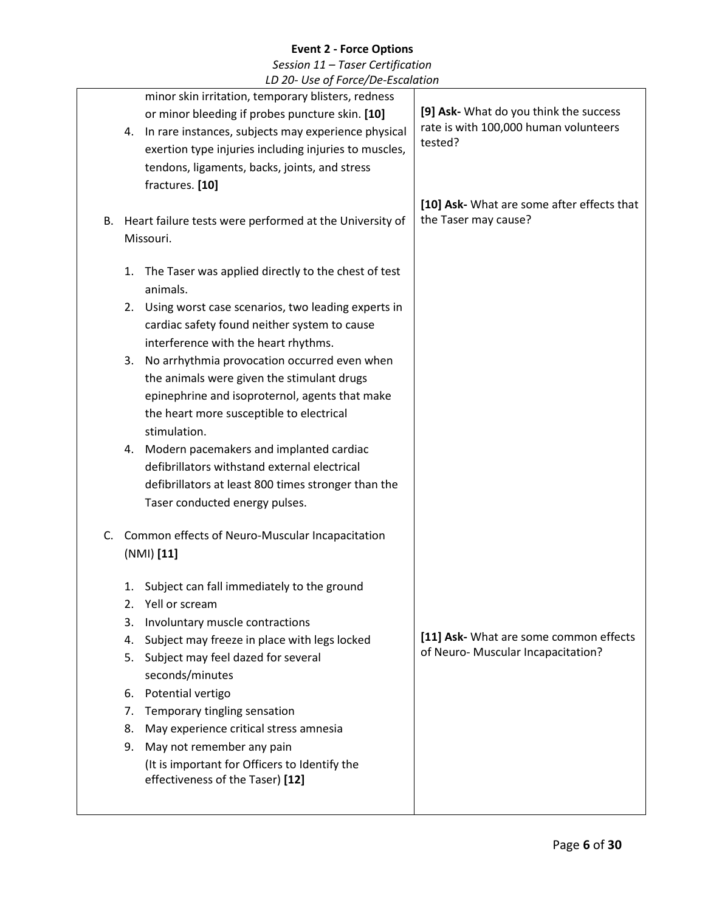|    | LD ZU OSC UJ FUFCC/DC ESCURATION                                                                      |                                                                    |
|----|-------------------------------------------------------------------------------------------------------|--------------------------------------------------------------------|
|    | minor skin irritation, temporary blisters, redness<br>or minor bleeding if probes puncture skin. [10] | [9] Ask- What do you think the success                             |
|    | In rare instances, subjects may experience physical<br>4.                                             | rate is with 100,000 human volunteers                              |
|    | exertion type injuries including injuries to muscles,                                                 | tested?                                                            |
|    | tendons, ligaments, backs, joints, and stress                                                         |                                                                    |
|    | fractures. [10]                                                                                       |                                                                    |
| В. | Heart failure tests were performed at the University of                                               | [10] Ask- What are some after effects that<br>the Taser may cause? |
|    | Missouri.                                                                                             |                                                                    |
|    |                                                                                                       |                                                                    |
|    | The Taser was applied directly to the chest of test<br>1.<br>animals.                                 |                                                                    |
|    | Using worst case scenarios, two leading experts in<br>2.                                              |                                                                    |
|    | cardiac safety found neither system to cause                                                          |                                                                    |
|    | interference with the heart rhythms.                                                                  |                                                                    |
|    | No arrhythmia provocation occurred even when<br>3.                                                    |                                                                    |
|    | the animals were given the stimulant drugs<br>epinephrine and isoproternol, agents that make          |                                                                    |
|    | the heart more susceptible to electrical                                                              |                                                                    |
|    | stimulation.                                                                                          |                                                                    |
|    | Modern pacemakers and implanted cardiac<br>4.                                                         |                                                                    |
|    | defibrillators withstand external electrical                                                          |                                                                    |
|    | defibrillators at least 800 times stronger than the<br>Taser conducted energy pulses.                 |                                                                    |
|    |                                                                                                       |                                                                    |
| C. | Common effects of Neuro-Muscular Incapacitation                                                       |                                                                    |
|    | (NMI) [11]                                                                                            |                                                                    |
|    | Subject can fall immediately to the ground<br>1.                                                      |                                                                    |
|    | Yell or scream<br>$\overline{2}$ .                                                                    |                                                                    |
|    | 3.<br>Involuntary muscle contractions                                                                 | [11] Ask- What are some common effects                             |
|    | Subject may freeze in place with legs locked<br>4.<br>Subject may feel dazed for several<br>5.        | of Neuro-Muscular Incapacitation?                                  |
|    | seconds/minutes                                                                                       |                                                                    |
|    | Potential vertigo<br>6.                                                                               |                                                                    |
|    | 7.<br>Temporary tingling sensation                                                                    |                                                                    |
|    | May experience critical stress amnesia<br>8.                                                          |                                                                    |
|    | May not remember any pain<br>9.                                                                       |                                                                    |
|    | (It is important for Officers to Identify the<br>effectiveness of the Taser) [12]                     |                                                                    |
|    |                                                                                                       |                                                                    |
|    |                                                                                                       |                                                                    |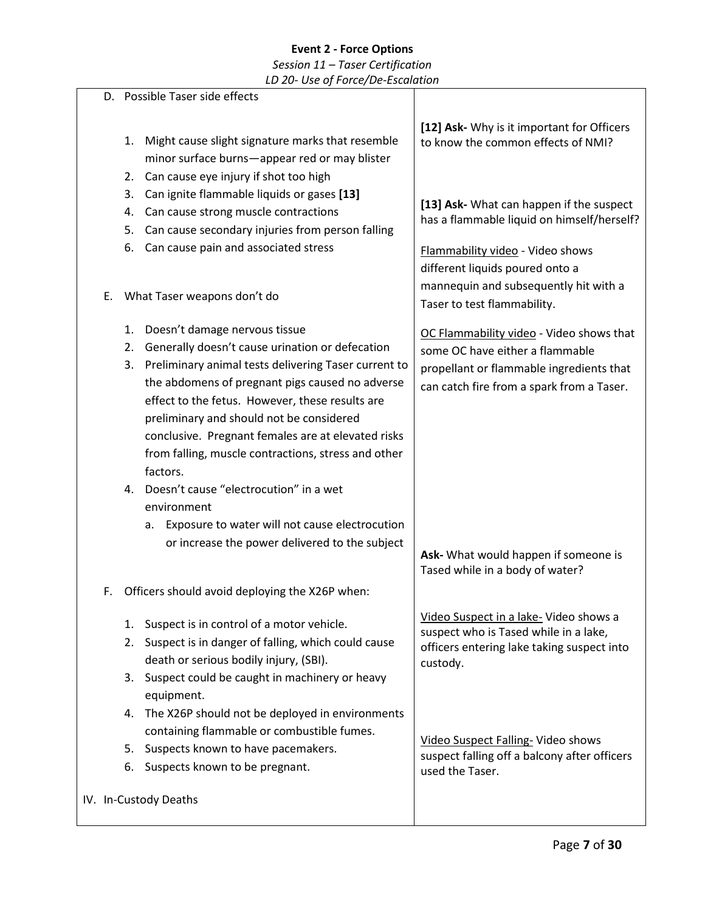# **Event 2 - Force Options** *Session 11 – Taser Certification*

|    | LD 20- Use of Force/De-Escalation                                                                                                                                                                                                                                                                                                                                                                                                                                                  |                                                                                                                                                                      |
|----|------------------------------------------------------------------------------------------------------------------------------------------------------------------------------------------------------------------------------------------------------------------------------------------------------------------------------------------------------------------------------------------------------------------------------------------------------------------------------------|----------------------------------------------------------------------------------------------------------------------------------------------------------------------|
|    | D. Possible Taser side effects                                                                                                                                                                                                                                                                                                                                                                                                                                                     |                                                                                                                                                                      |
|    | Might cause slight signature marks that resemble<br>1.<br>minor surface burns-appear red or may blister<br>Can cause eye injury if shot too high<br>2.                                                                                                                                                                                                                                                                                                                             | [12] Ask- Why is it important for Officers<br>to know the common effects of NMI?                                                                                     |
|    | Can ignite flammable liquids or gases [13]<br>3.<br>Can cause strong muscle contractions<br>4.<br>Can cause secondary injuries from person falling<br>5.<br>Can cause pain and associated stress<br>6.                                                                                                                                                                                                                                                                             | [13] Ask- What can happen if the suspect<br>has a flammable liquid on himself/herself?<br>Flammability video - Video shows<br>different liquids poured onto a        |
| E. | What Taser weapons don't do                                                                                                                                                                                                                                                                                                                                                                                                                                                        | mannequin and subsequently hit with a<br>Taser to test flammability.                                                                                                 |
|    | Doesn't damage nervous tissue<br>1.<br>Generally doesn't cause urination or defecation<br>2.<br>Preliminary animal tests delivering Taser current to<br>3.<br>the abdomens of pregnant pigs caused no adverse<br>effect to the fetus. However, these results are<br>preliminary and should not be considered<br>conclusive. Pregnant females are at elevated risks<br>from falling, muscle contractions, stress and other<br>factors.<br>4. Doesn't cause "electrocution" in a wet | OC Flammability video - Video shows that<br>some OC have either a flammable<br>propellant or flammable ingredients that<br>can catch fire from a spark from a Taser. |
|    | environment<br>Exposure to water will not cause electrocution<br>а.<br>or increase the power delivered to the subject                                                                                                                                                                                                                                                                                                                                                              | Ask- What would happen if someone is<br>Tased while in a body of water?                                                                                              |
|    | Officers should avoid deploying the X26P when:                                                                                                                                                                                                                                                                                                                                                                                                                                     | Video Suspect in a lake- Video shows a                                                                                                                               |
|    | Suspect is in control of a motor vehicle.<br>1.<br>2. Suspect is in danger of falling, which could cause<br>death or serious bodily injury, (SBI).<br>3. Suspect could be caught in machinery or heavy                                                                                                                                                                                                                                                                             | suspect who is Tased while in a lake,<br>officers entering lake taking suspect into<br>custody.                                                                      |
|    | equipment.<br>The X26P should not be deployed in environments<br>4.                                                                                                                                                                                                                                                                                                                                                                                                                |                                                                                                                                                                      |
|    | containing flammable or combustible fumes.<br>Suspects known to have pacemakers.<br>5.<br>6. Suspects known to be pregnant.                                                                                                                                                                                                                                                                                                                                                        | Video Suspect Falling- Video shows<br>suspect falling off a balcony after officers<br>used the Taser.                                                                |
|    | IV. In-Custody Deaths                                                                                                                                                                                                                                                                                                                                                                                                                                                              |                                                                                                                                                                      |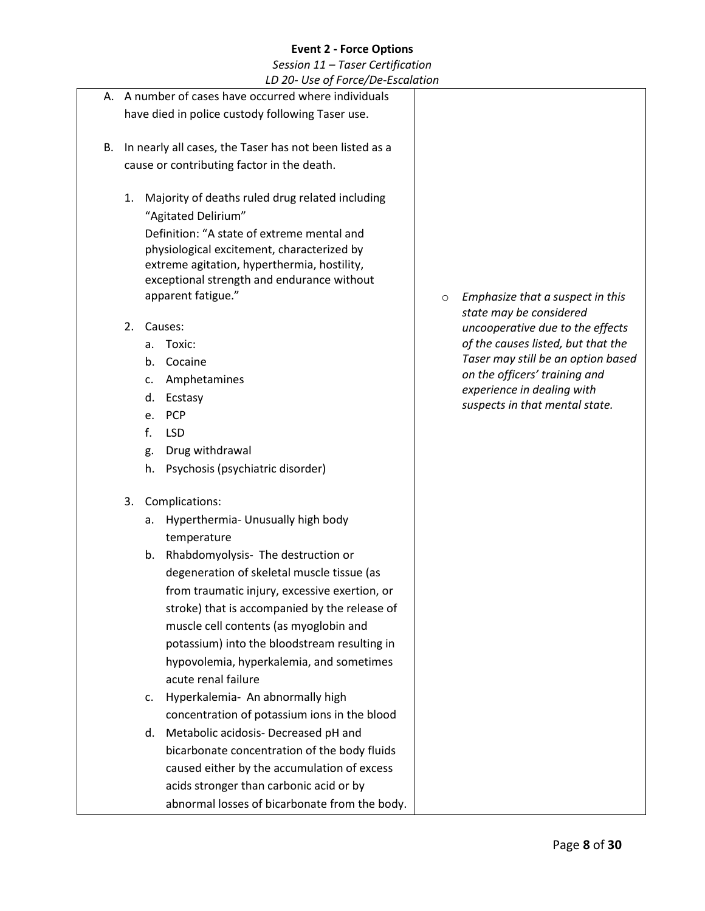|    |                                                  |    | LD 20- Ose of Force/De-Escalation                       |         |                                                             |
|----|--------------------------------------------------|----|---------------------------------------------------------|---------|-------------------------------------------------------------|
|    |                                                  |    | A. A number of cases have occurred where individuals    |         |                                                             |
|    | have died in police custody following Taser use. |    |                                                         |         |                                                             |
|    |                                                  |    |                                                         |         |                                                             |
| В. |                                                  |    | In nearly all cases, the Taser has not been listed as a |         |                                                             |
|    |                                                  |    | cause or contributing factor in the death.              |         |                                                             |
|    | 1.                                               |    | Majority of deaths ruled drug related including         |         |                                                             |
|    |                                                  |    | "Agitated Delirium"                                     |         |                                                             |
|    |                                                  |    | Definition: "A state of extreme mental and              |         |                                                             |
|    |                                                  |    | physiological excitement, characterized by              |         |                                                             |
|    |                                                  |    | extreme agitation, hyperthermia, hostility,             |         |                                                             |
|    |                                                  |    | exceptional strength and endurance without              |         |                                                             |
|    |                                                  |    | apparent fatigue."                                      | $\circ$ | Emphasize that a suspect in this                            |
|    | 2.                                               |    | Causes:                                                 |         | state may be considered<br>uncooperative due to the effects |
|    |                                                  | a. | Toxic:                                                  |         | of the causes listed, but that the                          |
|    |                                                  |    | b. Cocaine                                              |         | Taser may still be an option based                          |
|    |                                                  | c. | Amphetamines                                            |         | on the officers' training and                               |
|    |                                                  | d. | Ecstasy                                                 |         | experience in dealing with                                  |
|    |                                                  | e. | <b>PCP</b>                                              |         | suspects in that mental state.                              |
|    |                                                  | f. | <b>LSD</b>                                              |         |                                                             |
|    |                                                  | g. | Drug withdrawal                                         |         |                                                             |
|    |                                                  | h. | Psychosis (psychiatric disorder)                        |         |                                                             |
|    |                                                  |    |                                                         |         |                                                             |
|    | 3.                                               |    | Complications:                                          |         |                                                             |
|    |                                                  | а. | Hyperthermia- Unusually high body                       |         |                                                             |
|    |                                                  | b. | temperature<br>Rhabdomyolysis- The destruction or       |         |                                                             |
|    |                                                  |    | degeneration of skeletal muscle tissue (as              |         |                                                             |
|    |                                                  |    | from traumatic injury, excessive exertion, or           |         |                                                             |
|    |                                                  |    | stroke) that is accompanied by the release of           |         |                                                             |
|    |                                                  |    | muscle cell contents (as myoglobin and                  |         |                                                             |
|    |                                                  |    | potassium) into the bloodstream resulting in            |         |                                                             |
|    |                                                  |    | hypovolemia, hyperkalemia, and sometimes                |         |                                                             |
|    |                                                  |    | acute renal failure                                     |         |                                                             |
|    |                                                  | c. | Hyperkalemia- An abnormally high                        |         |                                                             |
|    |                                                  |    | concentration of potassium ions in the blood            |         |                                                             |
|    |                                                  | d. | Metabolic acidosis- Decreased pH and                    |         |                                                             |
|    |                                                  |    | bicarbonate concentration of the body fluids            |         |                                                             |
|    |                                                  |    | caused either by the accumulation of excess             |         |                                                             |
|    |                                                  |    | acids stronger than carbonic acid or by                 |         |                                                             |
|    |                                                  |    | abnormal losses of bicarbonate from the body.           |         |                                                             |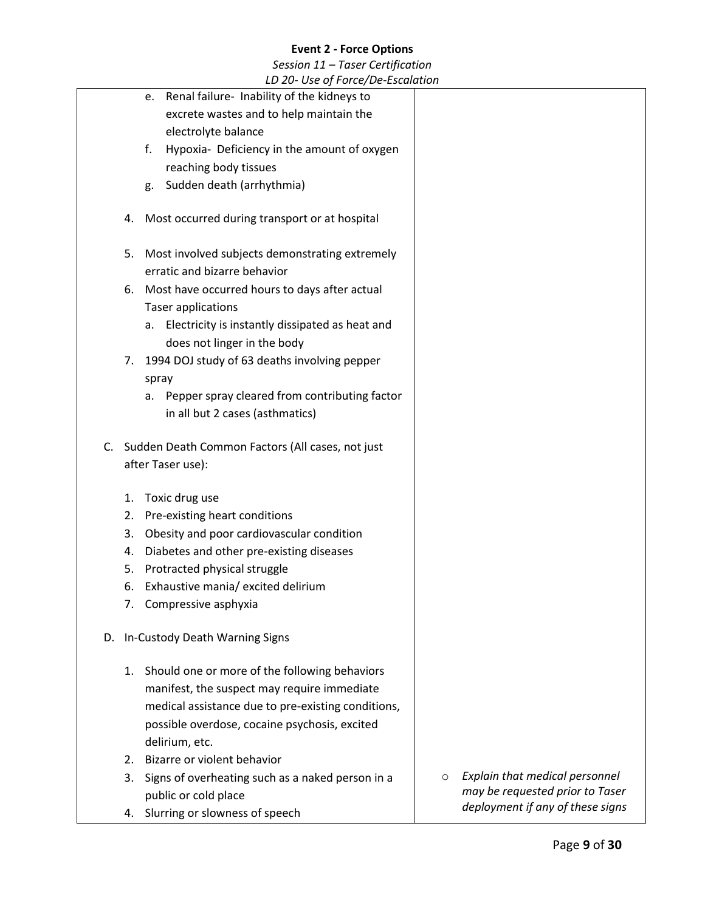|    |    | LD 20- Use of Force/De-Escalation                  |         |                                  |
|----|----|----------------------------------------------------|---------|----------------------------------|
|    |    | e. Renal failure- Inability of the kidneys to      |         |                                  |
|    |    | excrete wastes and to help maintain the            |         |                                  |
|    |    | electrolyte balance                                |         |                                  |
|    |    | f.<br>Hypoxia- Deficiency in the amount of oxygen  |         |                                  |
|    |    | reaching body tissues                              |         |                                  |
|    |    | Sudden death (arrhythmia)<br>g.                    |         |                                  |
|    | 4. | Most occurred during transport or at hospital      |         |                                  |
|    | 5. | Most involved subjects demonstrating extremely     |         |                                  |
|    |    | erratic and bizarre behavior                       |         |                                  |
|    | 6. | Most have occurred hours to days after actual      |         |                                  |
|    |    | <b>Taser applications</b>                          |         |                                  |
|    |    | a. Electricity is instantly dissipated as heat and |         |                                  |
|    |    | does not linger in the body                        |         |                                  |
|    | 7. | 1994 DOJ study of 63 deaths involving pepper       |         |                                  |
|    |    | spray                                              |         |                                  |
|    |    | a. Pepper spray cleared from contributing factor   |         |                                  |
|    |    | in all but 2 cases (asthmatics)                    |         |                                  |
| C. |    | Sudden Death Common Factors (All cases, not just   |         |                                  |
|    |    | after Taser use):                                  |         |                                  |
|    |    |                                                    |         |                                  |
|    | 1. | Toxic drug use                                     |         |                                  |
|    | 2. | Pre-existing heart conditions                      |         |                                  |
|    | 3. | Obesity and poor cardiovascular condition          |         |                                  |
|    | 4. | Diabetes and other pre-existing diseases           |         |                                  |
|    | 5. | Protracted physical struggle                       |         |                                  |
|    | 6. | Exhaustive mania/ excited delirium                 |         |                                  |
|    | 7. | Compressive asphyxia                               |         |                                  |
| D. |    | In-Custody Death Warning Signs                     |         |                                  |
|    | 1. | Should one or more of the following behaviors      |         |                                  |
|    |    | manifest, the suspect may require immediate        |         |                                  |
|    |    | medical assistance due to pre-existing conditions, |         |                                  |
|    |    | possible overdose, cocaine psychosis, excited      |         |                                  |
|    |    | delirium, etc.                                     |         |                                  |
|    | 2. | Bizarre or violent behavior                        |         |                                  |
|    | 3. | Signs of overheating such as a naked person in a   | $\circ$ | Explain that medical personnel   |
|    |    | public or cold place                               |         | may be requested prior to Taser  |
|    | 4. | Slurring or slowness of speech                     |         | deployment if any of these signs |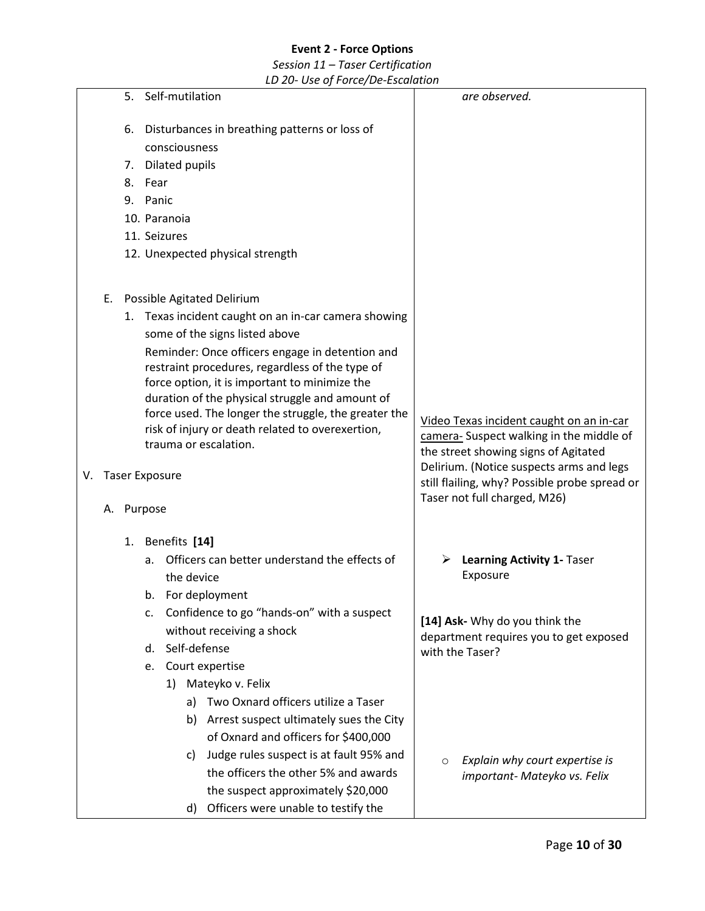*Session 11 – Taser Certification LD 20- Use of Force/De-Escalation*

5. Self-mutilation 6. Disturbances in breathing patterns or loss of consciousness 7. Dilated pupils 8. Fear 9. Panic 10. Paranoia 11. Seizures 12. Unexpected physical strength E. Possible Agitated Delirium 1. Texas incident caught on an in-car camera showing some of the signs listed above Reminder: Once officers engage in detention and restraint procedures, regardless of the type of force option, it is important to minimize the duration of the physical struggle and amount of force used. The longer the struggle, the greater the risk of injury or death related to overexertion, trauma or escalation. V. Taser Exposure A. Purpose 1. Benefits **[14]** a. Officers can better understand the effects of the device b. For deployment c. Confidence to go "hands-on" with a suspect without receiving a shock d. Self-defense e. Court expertise 1) Mateyko v. Felix a) Two Oxnard officers utilize a Taser b) Arrest suspect ultimately sues the City of Oxnard and officers for \$400,000 c) Judge rules suspect is at fault 95% and the officers the other 5% and awards the suspect approximately \$20,000 d) Officers were unable to testify the *are observed.* Video Texas incident caught on an in-car camera- Suspect walking in the middle of the street showing signs of Agitated Delirium. (Notice suspects arms and legs still flailing, why? Possible probe spread or Taser not full charged, M26) ➢ **Learning Activity 1-** Taser Exposure **[14] Ask-** Why do you think the department requires you to get exposed with the Taser? o *Explain why court expertise is important- Mateyko vs. Felix*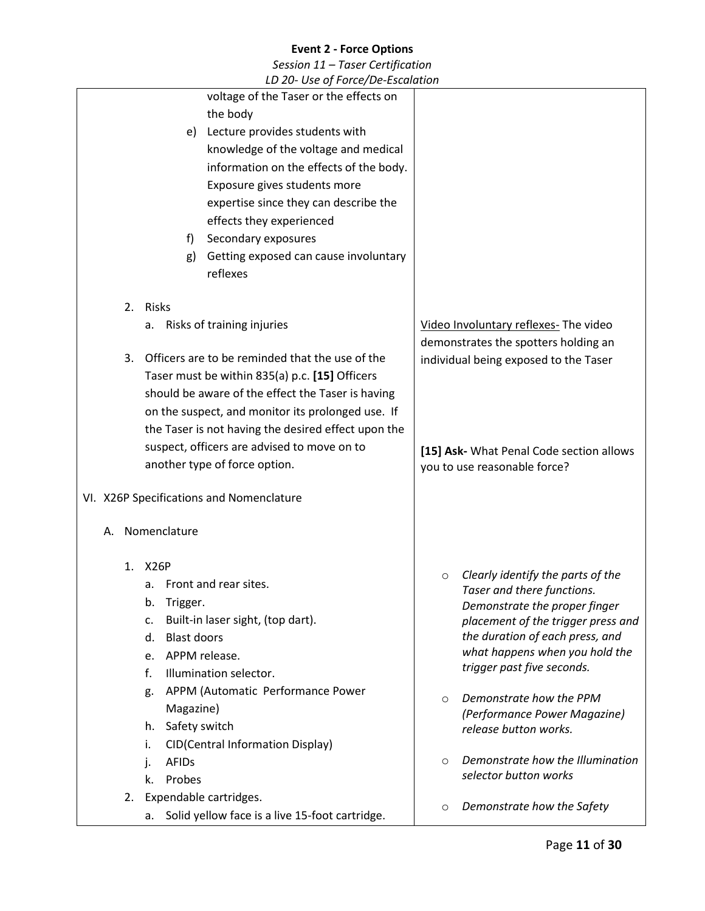| LD 20- Use of Force/De-Escalation |                          |                                                     |         |                                                                     |
|-----------------------------------|--------------------------|-----------------------------------------------------|---------|---------------------------------------------------------------------|
|                                   |                          | voltage of the Taser or the effects on              |         |                                                                     |
|                                   |                          | the body                                            |         |                                                                     |
|                                   |                          | e) Lecture provides students with                   |         |                                                                     |
|                                   |                          | knowledge of the voltage and medical                |         |                                                                     |
|                                   |                          | information on the effects of the body.             |         |                                                                     |
|                                   |                          | Exposure gives students more                        |         |                                                                     |
|                                   |                          | expertise since they can describe the               |         |                                                                     |
|                                   |                          | effects they experienced                            |         |                                                                     |
|                                   | f)                       | Secondary exposures                                 |         |                                                                     |
|                                   | g)                       | Getting exposed can cause involuntary               |         |                                                                     |
|                                   |                          | reflexes                                            |         |                                                                     |
|                                   |                          |                                                     |         |                                                                     |
|                                   | 2. Risks                 |                                                     |         |                                                                     |
|                                   |                          | a. Risks of training injuries                       |         | Video Involuntary reflexes- The video                               |
|                                   |                          |                                                     |         | demonstrates the spotters holding an                                |
| 3.                                |                          | Officers are to be reminded that the use of the     |         | individual being exposed to the Taser                               |
|                                   |                          | Taser must be within 835(a) p.c. [15] Officers      |         |                                                                     |
|                                   |                          | should be aware of the effect the Taser is having   |         |                                                                     |
|                                   |                          | on the suspect, and monitor its prolonged use. If   |         |                                                                     |
|                                   |                          | the Taser is not having the desired effect upon the |         |                                                                     |
|                                   |                          | suspect, officers are advised to move on to         |         | [15] Ask- What Penal Code section allows                            |
|                                   |                          | another type of force option.                       |         | you to use reasonable force?                                        |
|                                   |                          |                                                     |         |                                                                     |
|                                   |                          | VI. X26P Specifications and Nomenclature            |         |                                                                     |
| А.                                | Nomenclature             |                                                     |         |                                                                     |
|                                   |                          |                                                     |         |                                                                     |
| 1.                                | X26P                     |                                                     |         |                                                                     |
|                                   |                          | a. Front and rear sites.                            | $\circ$ | Clearly identify the parts of the                                   |
|                                   | b.<br>Trigger.           |                                                     |         | Taser and there functions.                                          |
|                                   | c.                       | Built-in laser sight, (top dart).                   |         | Demonstrate the proper finger<br>placement of the trigger press and |
|                                   | <b>Blast doors</b><br>d. |                                                     |         | the duration of each press, and                                     |
|                                   | e. APPM release.         |                                                     |         | what happens when you hold the                                      |
|                                   | f.                       | Illumination selector.                              |         | trigger past five seconds.                                          |
|                                   | g.                       | APPM (Automatic Performance Power                   |         |                                                                     |
|                                   | Magazine)                |                                                     | $\circ$ | Demonstrate how the PPM                                             |
|                                   | Safety switch<br>h.      |                                                     |         | (Performance Power Magazine)<br>release button works.               |
|                                   | i.                       | <b>CID(Central Information Display)</b>             |         |                                                                     |
|                                   | <b>AFIDs</b><br>j.       |                                                     | $\circ$ | Demonstrate how the Illumination                                    |
|                                   | Probes<br>k.             |                                                     |         | selector button works                                               |
| 2.                                | Expendable cartridges.   |                                                     |         |                                                                     |
|                                   | а.                       | Solid yellow face is a live 15-foot cartridge.      | O       | Demonstrate how the Safety                                          |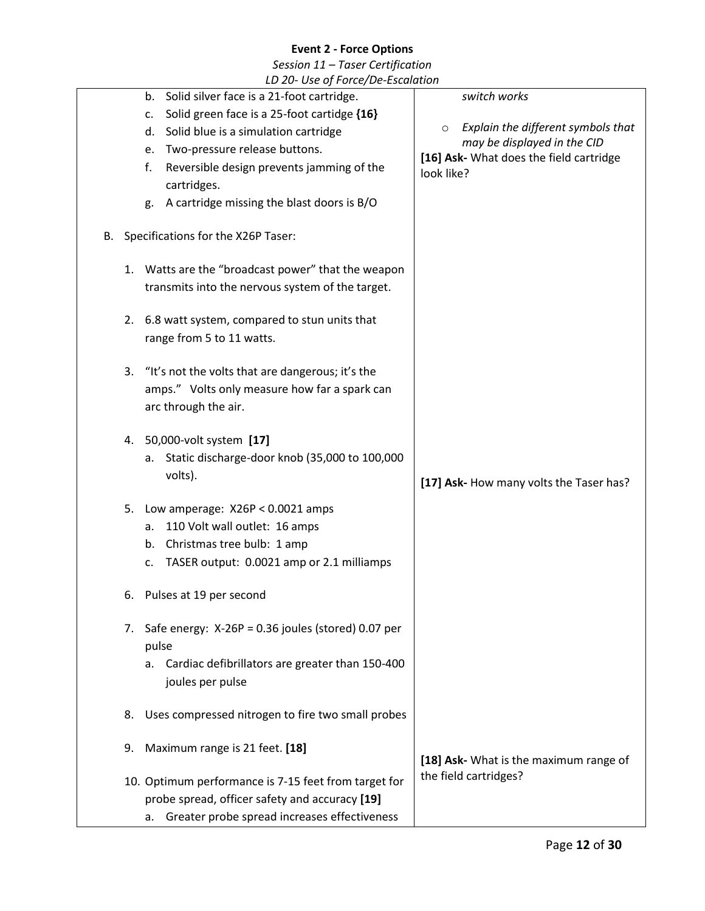|    |    | LD 20- Use of Force/De-Escalation                     |                                                                              |
|----|----|-------------------------------------------------------|------------------------------------------------------------------------------|
|    |    | b. Solid silver face is a 21-foot cartridge.          | switch works                                                                 |
|    |    | Solid green face is a 25-foot cartidge {16}<br>c.     |                                                                              |
|    |    | d. Solid blue is a simulation cartridge               | Explain the different symbols that<br>$\circ$<br>may be displayed in the CID |
|    |    | Two-pressure release buttons.<br>e.                   | [16] Ask- What does the field cartridge                                      |
|    |    | f.<br>Reversible design prevents jamming of the       | look like?                                                                   |
|    |    | cartridges.                                           |                                                                              |
|    |    | A cartridge missing the blast doors is B/O<br>g.      |                                                                              |
| В. |    | Specifications for the X26P Taser:                    |                                                                              |
|    |    | 1. Watts are the "broadcast power" that the weapon    |                                                                              |
|    |    | transmits into the nervous system of the target.      |                                                                              |
|    | 2. | 6.8 watt system, compared to stun units that          |                                                                              |
|    |    | range from 5 to 11 watts.                             |                                                                              |
|    |    |                                                       |                                                                              |
|    | 3. | "It's not the volts that are dangerous; it's the      |                                                                              |
|    |    | amps." Volts only measure how far a spark can         |                                                                              |
|    |    | arc through the air.                                  |                                                                              |
|    |    |                                                       |                                                                              |
|    | 4. | 50,000-volt system [17]                               |                                                                              |
|    |    | Static discharge-door knob (35,000 to 100,000<br>а.   |                                                                              |
|    |    | volts).                                               | [17] Ask- How many volts the Taser has?                                      |
|    | 5. | Low amperage: $X26P < 0.0021$ amps                    |                                                                              |
|    |    | 110 Volt wall outlet: 16 amps<br>а.                   |                                                                              |
|    |    | Christmas tree bulb: 1 amp<br>b.                      |                                                                              |
|    |    | TASER output: 0.0021 amp or 2.1 milliamps<br>c.       |                                                                              |
|    |    |                                                       |                                                                              |
|    | 6. | Pulses at 19 per second                               |                                                                              |
|    |    |                                                       |                                                                              |
|    | 7. | Safe energy: $X-26P = 0.36$ joules (stored) 0.07 per  |                                                                              |
|    |    | pulse                                                 |                                                                              |
|    |    | Cardiac defibrillators are greater than 150-400<br>а. |                                                                              |
|    |    | joules per pulse                                      |                                                                              |
|    | 8. | Uses compressed nitrogen to fire two small probes     |                                                                              |
|    | 9. | Maximum range is 21 feet. [18]                        |                                                                              |
|    |    |                                                       | [18] Ask- What is the maximum range of                                       |
|    |    | 10. Optimum performance is 7-15 feet from target for  | the field cartridges?                                                        |
|    |    | probe spread, officer safety and accuracy [19]        |                                                                              |
|    |    | Greater probe spread increases effectiveness<br>a.    |                                                                              |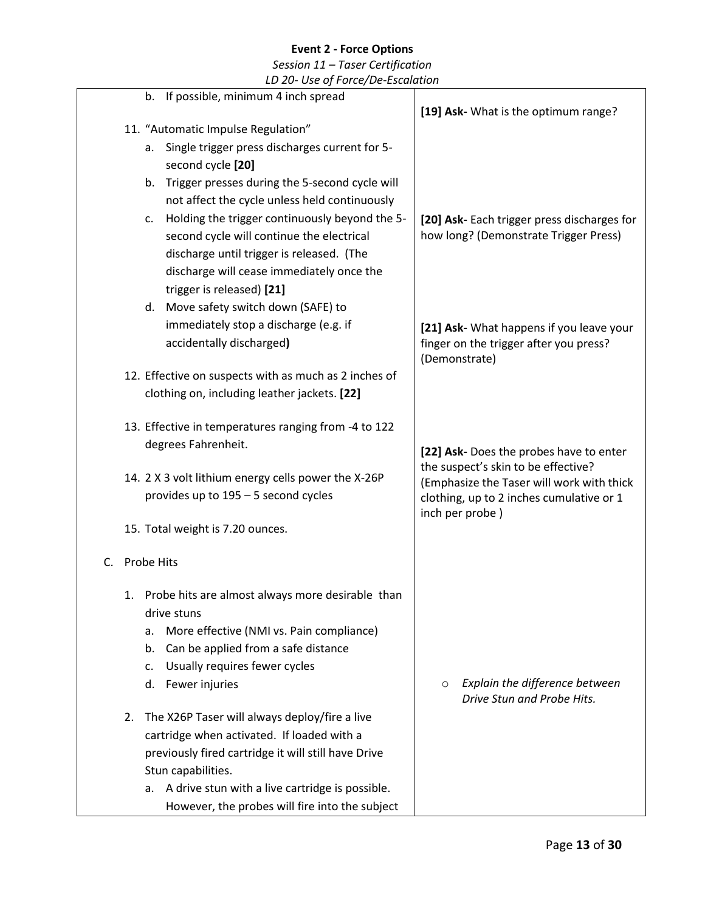|    | LD 20- Use of Force/De-Escalation                      |                                             |
|----|--------------------------------------------------------|---------------------------------------------|
|    | b. If possible, minimum 4 inch spread                  | [19] Ask- What is the optimum range?        |
|    | 11. "Automatic Impulse Regulation"                     |                                             |
|    | Single trigger press discharges current for 5-<br>а.   |                                             |
|    | second cycle [20]                                      |                                             |
|    | Trigger presses during the 5-second cycle will<br>b.   |                                             |
|    | not affect the cycle unless held continuously          |                                             |
|    | Holding the trigger continuously beyond the 5-<br>c.   | [20] Ask- Each trigger press discharges for |
|    | second cycle will continue the electrical              | how long? (Demonstrate Trigger Press)       |
|    | discharge until trigger is released. (The              |                                             |
|    | discharge will cease immediately once the              |                                             |
|    | trigger is released) [21]                              |                                             |
|    | d. Move safety switch down (SAFE) to                   |                                             |
|    | immediately stop a discharge (e.g. if                  | [21] Ask- What happens if you leave your    |
|    | accidentally discharged)                               | finger on the trigger after you press?      |
|    |                                                        | (Demonstrate)                               |
|    | 12. Effective on suspects with as much as 2 inches of  |                                             |
|    | clothing on, including leather jackets. [22]           |                                             |
|    |                                                        |                                             |
|    | 13. Effective in temperatures ranging from -4 to 122   |                                             |
|    | degrees Fahrenheit.                                    | [22] Ask- Does the probes have to enter     |
|    |                                                        | the suspect's skin to be effective?         |
|    | 14. 2 X 3 volt lithium energy cells power the X-26P    | (Emphasize the Taser will work with thick   |
|    | provides up to 195 - 5 second cycles                   | clothing, up to 2 inches cumulative or 1    |
|    | 15. Total weight is 7.20 ounces.                       | inch per probe)                             |
|    |                                                        |                                             |
| C. | Probe Hits                                             |                                             |
|    |                                                        |                                             |
|    | Probe hits are almost always more desirable than<br>1. |                                             |
|    | drive stuns                                            |                                             |
|    | More effective (NMI vs. Pain compliance)<br>a.         |                                             |
|    | Can be applied from a safe distance<br>b.              |                                             |
|    | Usually requires fewer cycles<br>c.                    |                                             |
|    | d. Fewer injuries                                      | Explain the difference between<br>$\circ$   |
|    |                                                        | Drive Stun and Probe Hits.                  |
|    | The X26P Taser will always deploy/fire a live<br>2.    |                                             |
|    | cartridge when activated. If loaded with a             |                                             |
|    | previously fired cartridge it will still have Drive    |                                             |
|    | Stun capabilities.                                     |                                             |
|    | a. A drive stun with a live cartridge is possible.     |                                             |
|    | However, the probes will fire into the subject         |                                             |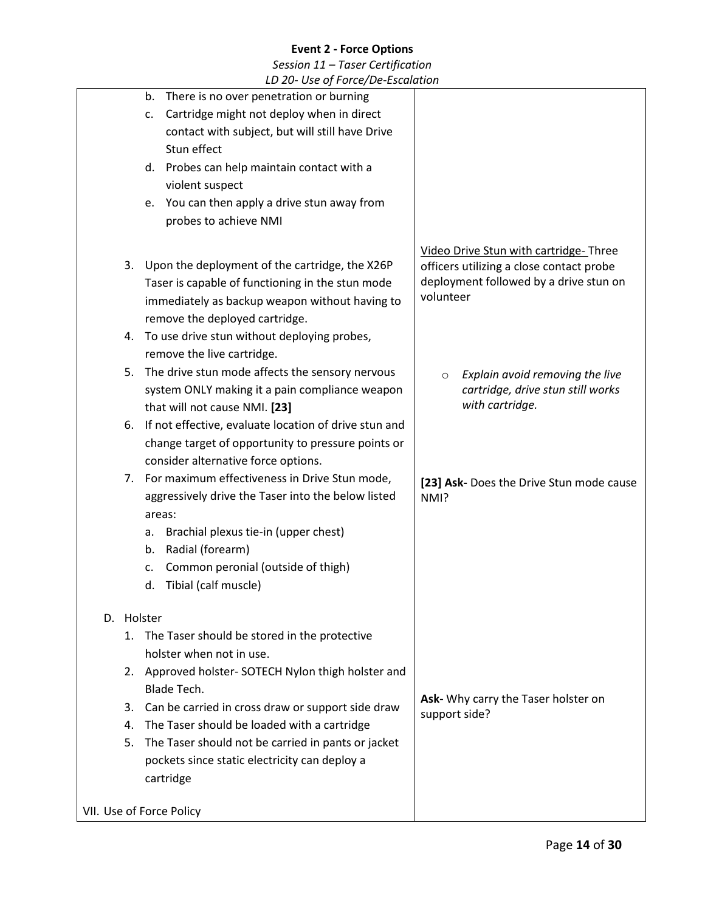|            | LD 20- USe of Force/De-Escalation                                                                                                                                                                                                                                                                                                                                                                                                                                                                                              |                                                                                                                                                                                                                                                |
|------------|--------------------------------------------------------------------------------------------------------------------------------------------------------------------------------------------------------------------------------------------------------------------------------------------------------------------------------------------------------------------------------------------------------------------------------------------------------------------------------------------------------------------------------|------------------------------------------------------------------------------------------------------------------------------------------------------------------------------------------------------------------------------------------------|
|            | There is no over penetration or burning<br>b.                                                                                                                                                                                                                                                                                                                                                                                                                                                                                  |                                                                                                                                                                                                                                                |
|            | Cartridge might not deploy when in direct<br>c.                                                                                                                                                                                                                                                                                                                                                                                                                                                                                |                                                                                                                                                                                                                                                |
|            | contact with subject, but will still have Drive                                                                                                                                                                                                                                                                                                                                                                                                                                                                                |                                                                                                                                                                                                                                                |
|            | Stun effect                                                                                                                                                                                                                                                                                                                                                                                                                                                                                                                    |                                                                                                                                                                                                                                                |
|            | d. Probes can help maintain contact with a                                                                                                                                                                                                                                                                                                                                                                                                                                                                                     |                                                                                                                                                                                                                                                |
|            | violent suspect                                                                                                                                                                                                                                                                                                                                                                                                                                                                                                                |                                                                                                                                                                                                                                                |
|            | e. You can then apply a drive stun away from                                                                                                                                                                                                                                                                                                                                                                                                                                                                                   |                                                                                                                                                                                                                                                |
|            | probes to achieve NMI                                                                                                                                                                                                                                                                                                                                                                                                                                                                                                          |                                                                                                                                                                                                                                                |
| 3.<br>5.   | Upon the deployment of the cartridge, the X26P<br>Taser is capable of functioning in the stun mode<br>immediately as backup weapon without having to<br>remove the deployed cartridge.<br>4. To use drive stun without deploying probes,<br>remove the live cartridge.<br>The drive stun mode affects the sensory nervous<br>system ONLY making it a pain compliance weapon<br>that will not cause NMI. [23]<br>6. If not effective, evaluate location of drive stun and<br>change target of opportunity to pressure points or | Video Drive Stun with cartridge-Three<br>officers utilizing a close contact probe<br>deployment followed by a drive stun on<br>volunteer<br>Explain avoid removing the live<br>$\circ$<br>cartridge, drive stun still works<br>with cartridge. |
|            | consider alternative force options.<br>7. For maximum effectiveness in Drive Stun mode,<br>aggressively drive the Taser into the below listed<br>areas:<br>Brachial plexus tie-in (upper chest)<br>a.<br>Radial (forearm)<br>b.<br>Common peronial (outside of thigh)<br>c.<br>Tibial (calf muscle)<br>d.                                                                                                                                                                                                                      | [23] Ask- Does the Drive Stun mode cause<br>NMI?                                                                                                                                                                                               |
| D. Holster |                                                                                                                                                                                                                                                                                                                                                                                                                                                                                                                                |                                                                                                                                                                                                                                                |
| 1.         | The Taser should be stored in the protective                                                                                                                                                                                                                                                                                                                                                                                                                                                                                   |                                                                                                                                                                                                                                                |
|            | holster when not in use.                                                                                                                                                                                                                                                                                                                                                                                                                                                                                                       |                                                                                                                                                                                                                                                |
|            | 2. Approved holster- SOTECH Nylon thigh holster and                                                                                                                                                                                                                                                                                                                                                                                                                                                                            |                                                                                                                                                                                                                                                |
|            | <b>Blade Tech.</b>                                                                                                                                                                                                                                                                                                                                                                                                                                                                                                             |                                                                                                                                                                                                                                                |
|            | 3. Can be carried in cross draw or support side draw                                                                                                                                                                                                                                                                                                                                                                                                                                                                           | Ask- Why carry the Taser holster on                                                                                                                                                                                                            |
| 4.         | The Taser should be loaded with a cartridge                                                                                                                                                                                                                                                                                                                                                                                                                                                                                    | support side?                                                                                                                                                                                                                                  |
| 5.         | The Taser should not be carried in pants or jacket                                                                                                                                                                                                                                                                                                                                                                                                                                                                             |                                                                                                                                                                                                                                                |
|            | pockets since static electricity can deploy a<br>cartridge                                                                                                                                                                                                                                                                                                                                                                                                                                                                     |                                                                                                                                                                                                                                                |
|            | VII. Use of Force Policy                                                                                                                                                                                                                                                                                                                                                                                                                                                                                                       |                                                                                                                                                                                                                                                |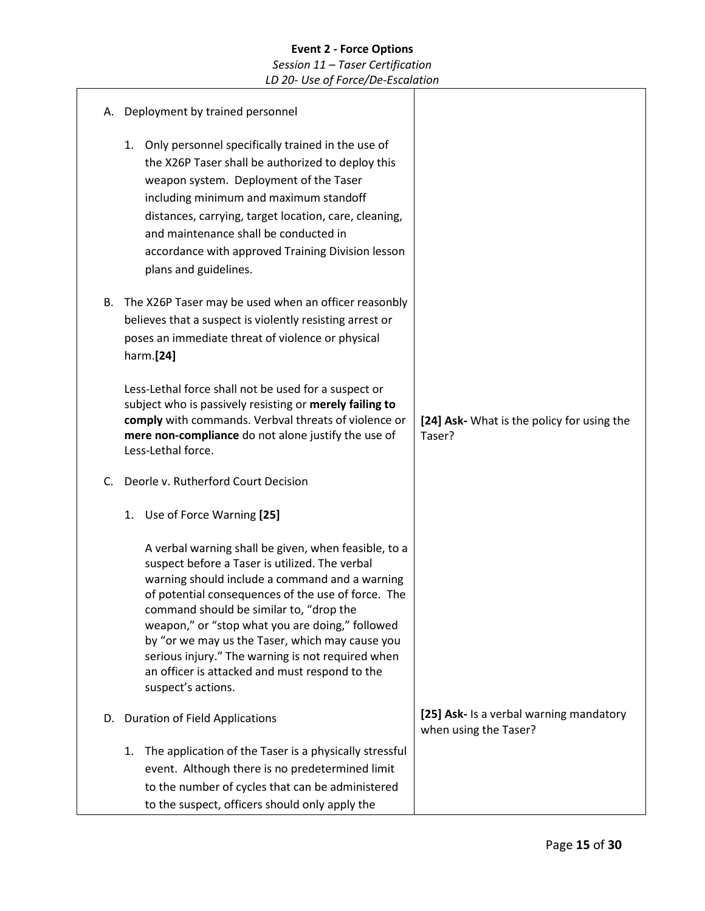# **Event 2 - Force Options** *Session 11 – Taser Certification LD 20- Use of Force/De-Escalation*

| А. | Deployment by trained personnel                                                                                                                                                                                                                                                                                                                                                                                                                                                              |                                                                  |
|----|----------------------------------------------------------------------------------------------------------------------------------------------------------------------------------------------------------------------------------------------------------------------------------------------------------------------------------------------------------------------------------------------------------------------------------------------------------------------------------------------|------------------------------------------------------------------|
|    | Only personnel specifically trained in the use of<br>1.<br>the X26P Taser shall be authorized to deploy this<br>weapon system. Deployment of the Taser<br>including minimum and maximum standoff<br>distances, carrying, target location, care, cleaning,<br>and maintenance shall be conducted in<br>accordance with approved Training Division lesson<br>plans and guidelines.                                                                                                             |                                                                  |
| В. | The X26P Taser may be used when an officer reasonbly<br>believes that a suspect is violently resisting arrest or<br>poses an immediate threat of violence or physical<br>harm.[24]                                                                                                                                                                                                                                                                                                           |                                                                  |
|    | Less-Lethal force shall not be used for a suspect or<br>subject who is passively resisting or merely failing to<br>comply with commands. Verbval threats of violence or<br>mere non-compliance do not alone justify the use of<br>Less-Lethal force.                                                                                                                                                                                                                                         | [24] Ask- What is the policy for using the<br>Taser?             |
| C. | Deorle v. Rutherford Court Decision                                                                                                                                                                                                                                                                                                                                                                                                                                                          |                                                                  |
|    | Use of Force Warning [25]<br>1.                                                                                                                                                                                                                                                                                                                                                                                                                                                              |                                                                  |
|    | A verbal warning shall be given, when feasible, to a<br>suspect before a Taser is utilized. The verbal<br>warning should include a command and a warning<br>of potential consequences of the use of force. The<br>command should be similar to, "drop the<br>weapon," or "stop what you are doing," followed<br>by "or we may us the Taser, which may cause you<br>serious injury." The warning is not required when<br>an officer is attacked and must respond to the<br>suspect's actions. |                                                                  |
| D. | <b>Duration of Field Applications</b>                                                                                                                                                                                                                                                                                                                                                                                                                                                        | [25] Ask- Is a verbal warning mandatory<br>when using the Taser? |
|    | The application of the Taser is a physically stressful<br>1.<br>event. Although there is no predetermined limit<br>to the number of cycles that can be administered<br>to the suspect, officers should only apply the                                                                                                                                                                                                                                                                        |                                                                  |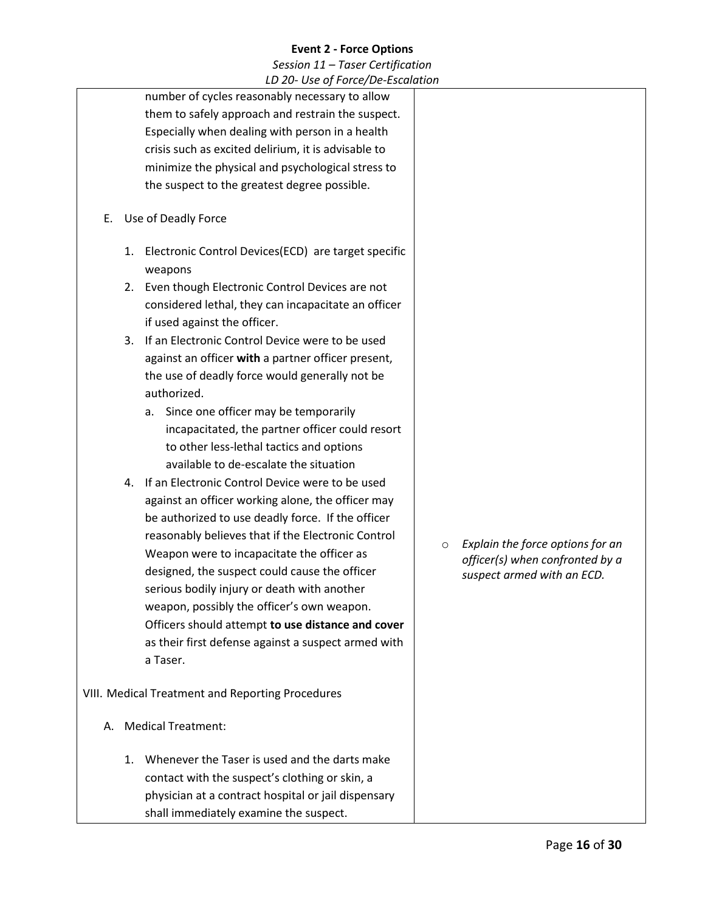|    | LD 20-0SE 01 FOILE/DE-ESLUIUIIOII                                                                                                                                                                                                                                                                                 |                                                                                                              |
|----|-------------------------------------------------------------------------------------------------------------------------------------------------------------------------------------------------------------------------------------------------------------------------------------------------------------------|--------------------------------------------------------------------------------------------------------------|
|    | number of cycles reasonably necessary to allow                                                                                                                                                                                                                                                                    |                                                                                                              |
|    | them to safely approach and restrain the suspect.                                                                                                                                                                                                                                                                 |                                                                                                              |
|    | Especially when dealing with person in a health                                                                                                                                                                                                                                                                   |                                                                                                              |
|    | crisis such as excited delirium, it is advisable to                                                                                                                                                                                                                                                               |                                                                                                              |
|    | minimize the physical and psychological stress to                                                                                                                                                                                                                                                                 |                                                                                                              |
|    | the suspect to the greatest degree possible.                                                                                                                                                                                                                                                                      |                                                                                                              |
| Е. | Use of Deadly Force                                                                                                                                                                                                                                                                                               |                                                                                                              |
| 1. | Electronic Control Devices(ECD) are target specific<br>weapons                                                                                                                                                                                                                                                    |                                                                                                              |
|    | 2. Even though Electronic Control Devices are not<br>considered lethal, they can incapacitate an officer                                                                                                                                                                                                          |                                                                                                              |
|    | if used against the officer.                                                                                                                                                                                                                                                                                      |                                                                                                              |
|    | 3. If an Electronic Control Device were to be used                                                                                                                                                                                                                                                                |                                                                                                              |
|    | against an officer with a partner officer present,<br>the use of deadly force would generally not be<br>authorized.                                                                                                                                                                                               |                                                                                                              |
|    | Since one officer may be temporarily<br>а.<br>incapacitated, the partner officer could resort<br>to other less-lethal tactics and options<br>available to de-escalate the situation                                                                                                                               |                                                                                                              |
|    | 4. If an Electronic Control Device were to be used<br>against an officer working alone, the officer may<br>be authorized to use deadly force. If the officer<br>reasonably believes that if the Electronic Control<br>Weapon were to incapacitate the officer as<br>designed, the suspect could cause the officer | Explain the force options for an<br>$\circ$<br>officer(s) when confronted by a<br>suspect armed with an ECD. |
|    | serious bodily injury or death with another<br>weapon, possibly the officer's own weapon.                                                                                                                                                                                                                         |                                                                                                              |
|    | Officers should attempt to use distance and cover                                                                                                                                                                                                                                                                 |                                                                                                              |
|    | as their first defense against a suspect armed with                                                                                                                                                                                                                                                               |                                                                                                              |
|    | a Taser.                                                                                                                                                                                                                                                                                                          |                                                                                                              |
|    | VIII. Medical Treatment and Reporting Procedures                                                                                                                                                                                                                                                                  |                                                                                                              |
| А. | <b>Medical Treatment:</b>                                                                                                                                                                                                                                                                                         |                                                                                                              |
| 1. | Whenever the Taser is used and the darts make<br>contact with the suspect's clothing or skin, a<br>physician at a contract hospital or jail dispensary<br>shall immediately examine the suspect.                                                                                                                  |                                                                                                              |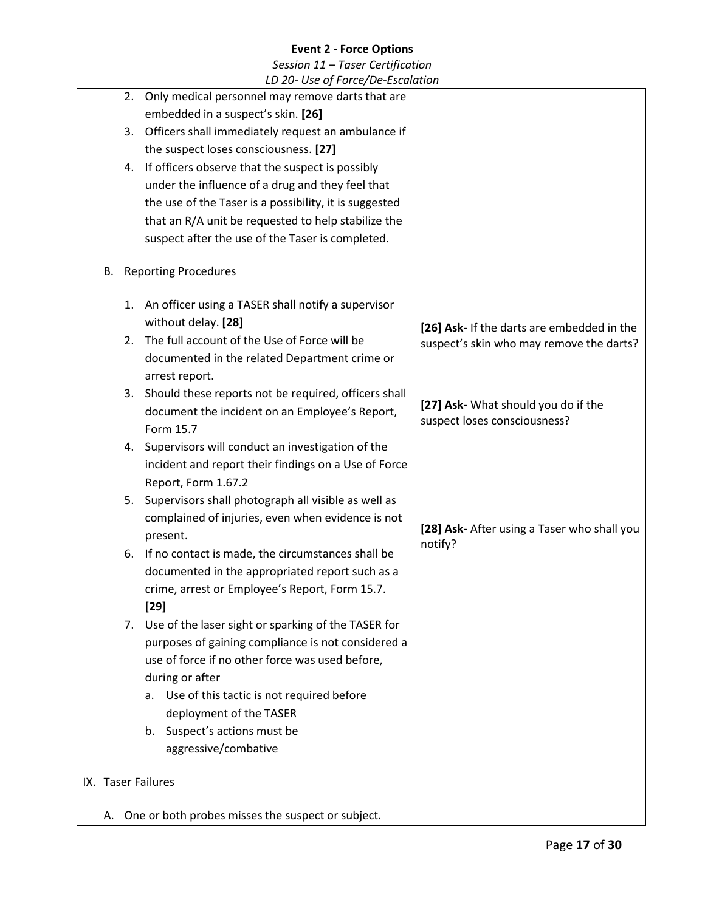| LD 20- Use of Force/De-Escalation |    |                                                         |                                                                     |  |
|-----------------------------------|----|---------------------------------------------------------|---------------------------------------------------------------------|--|
|                                   |    | 2. Only medical personnel may remove darts that are     |                                                                     |  |
|                                   |    | embedded in a suspect's skin. [26]                      |                                                                     |  |
|                                   |    | 3. Officers shall immediately request an ambulance if   |                                                                     |  |
|                                   |    | the suspect loses consciousness. [27]                   |                                                                     |  |
|                                   |    | 4. If officers observe that the suspect is possibly     |                                                                     |  |
|                                   |    | under the influence of a drug and they feel that        |                                                                     |  |
|                                   |    | the use of the Taser is a possibility, it is suggested  |                                                                     |  |
|                                   |    | that an R/A unit be requested to help stabilize the     |                                                                     |  |
|                                   |    | suspect after the use of the Taser is completed.        |                                                                     |  |
|                                   |    |                                                         |                                                                     |  |
| В.                                |    | <b>Reporting Procedures</b>                             |                                                                     |  |
|                                   |    | 1. An officer using a TASER shall notify a supervisor   |                                                                     |  |
|                                   |    | without delay. [28]                                     | [26] Ask- If the darts are embedded in the                          |  |
|                                   | 2. | The full account of the Use of Force will be            | suspect's skin who may remove the darts?                            |  |
|                                   |    | documented in the related Department crime or           |                                                                     |  |
|                                   |    | arrest report.                                          |                                                                     |  |
|                                   |    | 3. Should these reports not be required, officers shall |                                                                     |  |
|                                   |    | document the incident on an Employee's Report,          | [27] Ask- What should you do if the<br>suspect loses consciousness? |  |
|                                   |    | Form 15.7                                               |                                                                     |  |
|                                   |    | 4. Supervisors will conduct an investigation of the     |                                                                     |  |
|                                   |    | incident and report their findings on a Use of Force    |                                                                     |  |
|                                   |    | Report, Form 1.67.2                                     |                                                                     |  |
|                                   |    | 5. Supervisors shall photograph all visible as well as  |                                                                     |  |
|                                   |    | complained of injuries, even when evidence is not       | [28] Ask- After using a Taser who shall you                         |  |
|                                   |    | present.                                                | notify?                                                             |  |
|                                   |    | 6. If no contact is made, the circumstances shall be    |                                                                     |  |
|                                   |    | documented in the appropriated report such as a         |                                                                     |  |
|                                   |    | crime, arrest or Employee's Report, Form 15.7.          |                                                                     |  |
|                                   |    | $[29]$                                                  |                                                                     |  |
|                                   | 7. | Use of the laser sight or sparking of the TASER for     |                                                                     |  |
|                                   |    | purposes of gaining compliance is not considered a      |                                                                     |  |
|                                   |    | use of force if no other force was used before,         |                                                                     |  |
|                                   |    | during or after                                         |                                                                     |  |
|                                   |    | Use of this tactic is not required before<br>а.         |                                                                     |  |
|                                   |    | deployment of the TASER                                 |                                                                     |  |
|                                   |    | Suspect's actions must be<br>b.                         |                                                                     |  |
|                                   |    | aggressive/combative                                    |                                                                     |  |
|                                   |    |                                                         |                                                                     |  |
|                                   |    | IX. Taser Failures                                      |                                                                     |  |
|                                   |    | A. One or both probes misses the suspect or subject.    |                                                                     |  |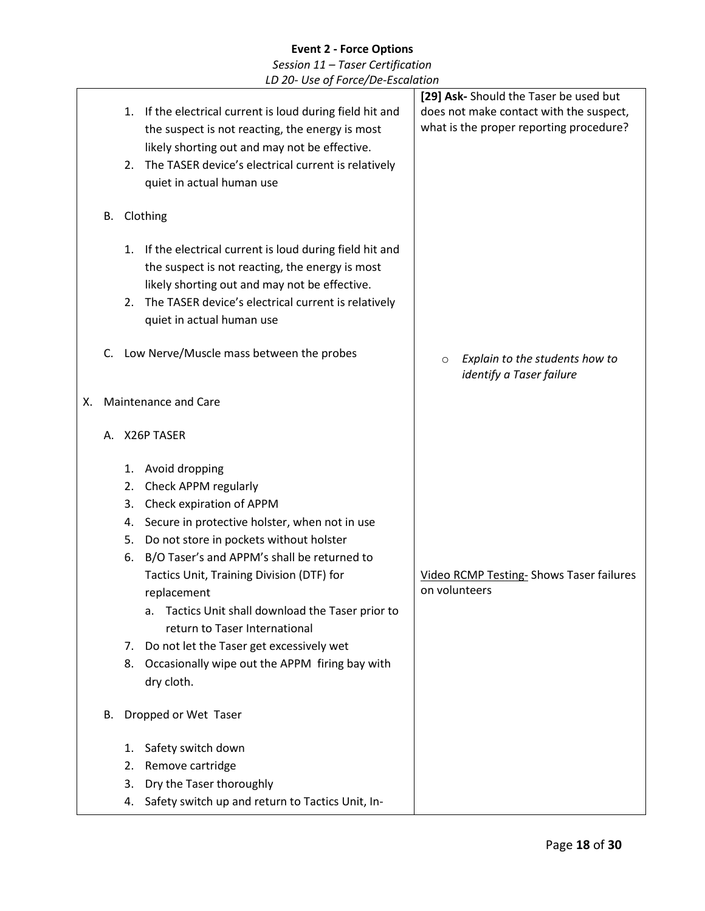# **Event 2 - Force Options** *Session 11 – Taser Certification*

*LD 20- Use of Force/De-Escalation*

|    |    |    |                                                                                       | [29] Ask- Should the Taser be used but                                |
|----|----|----|---------------------------------------------------------------------------------------|-----------------------------------------------------------------------|
|    |    |    | 1. If the electrical current is loud during field hit and                             | does not make contact with the suspect,                               |
|    |    |    | the suspect is not reacting, the energy is most                                       | what is the proper reporting procedure?                               |
|    |    |    | likely shorting out and may not be effective.                                         |                                                                       |
|    |    | 2. | The TASER device's electrical current is relatively                                   |                                                                       |
|    |    |    |                                                                                       |                                                                       |
|    |    |    | quiet in actual human use                                                             |                                                                       |
|    | В. |    | Clothing                                                                              |                                                                       |
|    |    |    |                                                                                       |                                                                       |
|    |    |    | 1. If the electrical current is loud during field hit and                             |                                                                       |
|    |    |    | the suspect is not reacting, the energy is most                                       |                                                                       |
|    |    |    | likely shorting out and may not be effective.                                         |                                                                       |
|    |    | 2. | The TASER device's electrical current is relatively                                   |                                                                       |
|    |    |    | quiet in actual human use                                                             |                                                                       |
|    |    |    |                                                                                       |                                                                       |
|    | C. |    | Low Nerve/Muscle mass between the probes                                              |                                                                       |
|    |    |    |                                                                                       | Explain to the students how to<br>$\circ$<br>identify a Taser failure |
|    |    |    |                                                                                       |                                                                       |
| х. |    |    | Maintenance and Care                                                                  |                                                                       |
|    |    |    |                                                                                       |                                                                       |
|    |    |    | A. X26P TASER                                                                         |                                                                       |
|    |    | 1. | Avoid dropping                                                                        |                                                                       |
|    |    | 2. | Check APPM regularly                                                                  |                                                                       |
|    |    | 3. | Check expiration of APPM                                                              |                                                                       |
|    |    | 4. | Secure in protective holster, when not in use                                         |                                                                       |
|    |    | 5. | Do not store in pockets without holster                                               |                                                                       |
|    |    | 6. | B/O Taser's and APPM's shall be returned to                                           |                                                                       |
|    |    |    | Tactics Unit, Training Division (DTF) for                                             | <b>Video RCMP Testing- Shows Taser failures</b>                       |
|    |    |    | replacement                                                                           | on volunteers                                                         |
|    |    |    |                                                                                       |                                                                       |
|    |    |    | Tactics Unit shall download the Taser prior to<br>a.<br>return to Taser International |                                                                       |
|    |    |    |                                                                                       |                                                                       |
|    |    |    |                                                                                       |                                                                       |
|    |    | 7. | Do not let the Taser get excessively wet                                              |                                                                       |
|    |    | 8. | Occasionally wipe out the APPM firing bay with                                        |                                                                       |
|    |    |    | dry cloth.                                                                            |                                                                       |
|    | В. |    |                                                                                       |                                                                       |
|    |    |    | Dropped or Wet Taser                                                                  |                                                                       |
|    |    | 1. | Safety switch down                                                                    |                                                                       |
|    |    | 2. | Remove cartridge                                                                      |                                                                       |
|    |    | 3. | Dry the Taser thoroughly                                                              |                                                                       |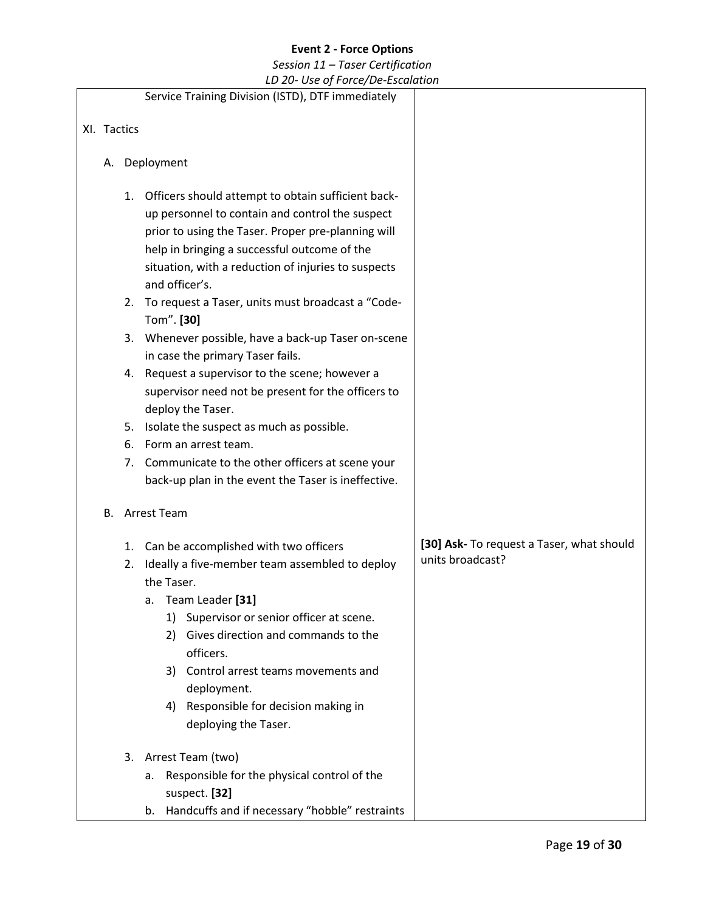|             |                                  | LD 20- Use of Force/De-Escalation                                                                                                                                                                                                                                                                                                                                                                                                                                                                                                                                                                                                                                                                                                                           |                                                               |
|-------------|----------------------------------|-------------------------------------------------------------------------------------------------------------------------------------------------------------------------------------------------------------------------------------------------------------------------------------------------------------------------------------------------------------------------------------------------------------------------------------------------------------------------------------------------------------------------------------------------------------------------------------------------------------------------------------------------------------------------------------------------------------------------------------------------------------|---------------------------------------------------------------|
|             |                                  | Service Training Division (ISTD), DTF immediately                                                                                                                                                                                                                                                                                                                                                                                                                                                                                                                                                                                                                                                                                                           |                                                               |
| XI. Tactics |                                  |                                                                                                                                                                                                                                                                                                                                                                                                                                                                                                                                                                                                                                                                                                                                                             |                                                               |
| А.          |                                  | Deployment                                                                                                                                                                                                                                                                                                                                                                                                                                                                                                                                                                                                                                                                                                                                                  |                                                               |
|             | 1.<br>2.<br>4.<br>5.<br>6.<br>7. | Officers should attempt to obtain sufficient back-<br>up personnel to contain and control the suspect<br>prior to using the Taser. Proper pre-planning will<br>help in bringing a successful outcome of the<br>situation, with a reduction of injuries to suspects<br>and officer's.<br>To request a Taser, units must broadcast a "Code-<br>Tom". [30]<br>3. Whenever possible, have a back-up Taser on-scene<br>in case the primary Taser fails.<br>Request a supervisor to the scene; however a<br>supervisor need not be present for the officers to<br>deploy the Taser.<br>Isolate the suspect as much as possible.<br>Form an arrest team.<br>Communicate to the other officers at scene your<br>back-up plan in the event the Taser is ineffective. |                                                               |
|             |                                  | <b>B.</b> Arrest Team                                                                                                                                                                                                                                                                                                                                                                                                                                                                                                                                                                                                                                                                                                                                       |                                                               |
|             | 1.<br>2.                         | Can be accomplished with two officers<br>Ideally a five-member team assembled to deploy<br>the Taser.<br>Team Leader [31]<br>а.<br>Supervisor or senior officer at scene.<br>1)<br>Gives direction and commands to the<br>2)<br>officers.<br>Control arrest teams movements and<br>3)<br>deployment.<br>Responsible for decision making in<br>4)<br>deploying the Taser.                                                                                                                                                                                                                                                                                                                                                                                    | [30] Ask- To request a Taser, what should<br>units broadcast? |
|             | 3.                               | Arrest Team (two)<br>Responsible for the physical control of the<br>а.<br>suspect. [32]<br>Handcuffs and if necessary "hobble" restraints<br>b.                                                                                                                                                                                                                                                                                                                                                                                                                                                                                                                                                                                                             |                                                               |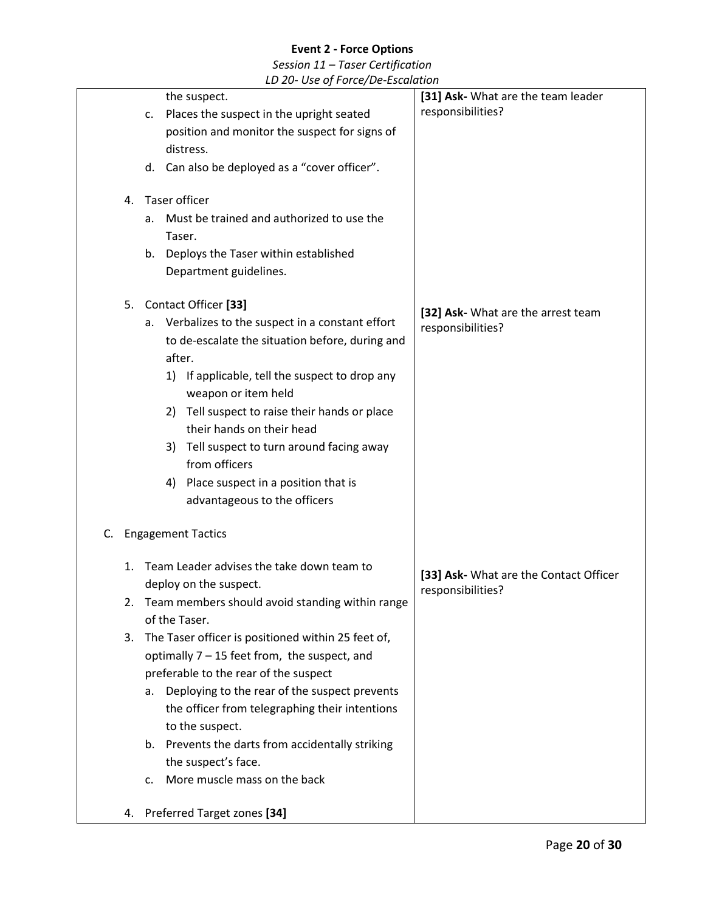|    |    | LD 20- OSE Of FORCE/DE-ESCURTION                     |                                                             |
|----|----|------------------------------------------------------|-------------------------------------------------------------|
|    |    | the suspect.                                         | [31] Ask- What are the team leader                          |
|    |    | Places the suspect in the upright seated<br>c.       | responsibilities?                                           |
|    |    | position and monitor the suspect for signs of        |                                                             |
|    |    | distress.                                            |                                                             |
|    |    | d. Can also be deployed as a "cover officer".        |                                                             |
|    | 4. | Taser officer                                        |                                                             |
|    |    | Must be trained and authorized to use the<br>a.      |                                                             |
|    |    | Taser.                                               |                                                             |
|    |    | Deploys the Taser within established<br>b.           |                                                             |
|    |    | Department guidelines.                               |                                                             |
|    |    | 5. Contact Officer [33]                              |                                                             |
|    |    | Verbalizes to the suspect in a constant effort<br>а. | [32] Ask- What are the arrest team                          |
|    |    | to de-escalate the situation before, during and      | responsibilities?                                           |
|    |    | after.                                               |                                                             |
|    |    | 1) If applicable, tell the suspect to drop any       |                                                             |
|    |    | weapon or item held                                  |                                                             |
|    |    | 2) Tell suspect to raise their hands or place        |                                                             |
|    |    | their hands on their head                            |                                                             |
|    |    | Tell suspect to turn around facing away<br>3)        |                                                             |
|    |    | from officers                                        |                                                             |
|    |    | 4) Place suspect in a position that is               |                                                             |
|    |    | advantageous to the officers                         |                                                             |
| C. |    | <b>Engagement Tactics</b>                            |                                                             |
|    |    | 1. Team Leader advises the take down team to         |                                                             |
|    |    | deploy on the suspect.                               | [33] Ask- What are the Contact Officer<br>responsibilities? |
|    | 2. | Team members should avoid standing within range      |                                                             |
|    |    | of the Taser.                                        |                                                             |
|    | 3. | The Taser officer is positioned within 25 feet of,   |                                                             |
|    |    | optimally $7 - 15$ feet from, the suspect, and       |                                                             |
|    |    | preferable to the rear of the suspect                |                                                             |
|    |    | Deploying to the rear of the suspect prevents<br>a.  |                                                             |
|    |    | the officer from telegraphing their intentions       |                                                             |
|    |    | to the suspect.                                      |                                                             |
|    |    | b. Prevents the darts from accidentally striking     |                                                             |
|    |    | the suspect's face.                                  |                                                             |
|    |    | More muscle mass on the back<br>c.                   |                                                             |
|    |    | 4. Preferred Target zones [34]                       |                                                             |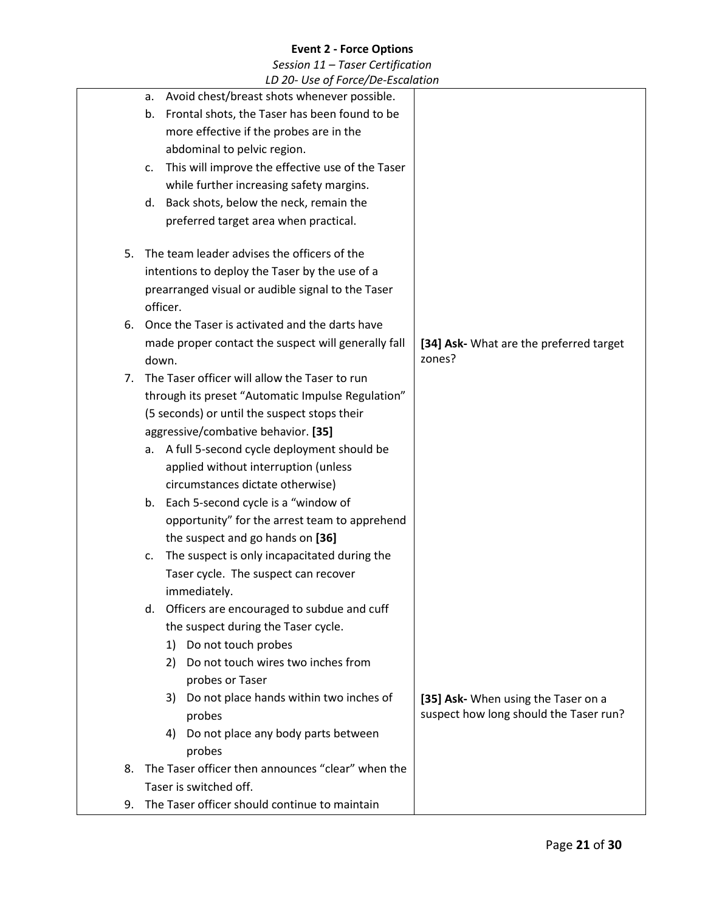|    | LD 20- Use of Force/De-Escalation                      |                                         |
|----|--------------------------------------------------------|-----------------------------------------|
|    | a. Avoid chest/breast shots whenever possible.         |                                         |
|    | Frontal shots, the Taser has been found to be<br>b.    |                                         |
|    | more effective if the probes are in the                |                                         |
|    | abdominal to pelvic region.                            |                                         |
|    | This will improve the effective use of the Taser<br>c. |                                         |
|    | while further increasing safety margins.               |                                         |
|    | Back shots, below the neck, remain the<br>d.           |                                         |
|    | preferred target area when practical.                  |                                         |
| 5. | The team leader advises the officers of the            |                                         |
|    | intentions to deploy the Taser by the use of a         |                                         |
|    | prearranged visual or audible signal to the Taser      |                                         |
|    | officer.                                               |                                         |
| 6. | Once the Taser is activated and the darts have         |                                         |
|    | made proper contact the suspect will generally fall    | [34] Ask- What are the preferred target |
|    | down.                                                  | zones?                                  |
| 7. | The Taser officer will allow the Taser to run          |                                         |
|    | through its preset "Automatic Impulse Regulation"      |                                         |
|    | (5 seconds) or until the suspect stops their           |                                         |
|    | aggressive/combative behavior. [35]                    |                                         |
|    | a. A full 5-second cycle deployment should be          |                                         |
|    | applied without interruption (unless                   |                                         |
|    | circumstances dictate otherwise)                       |                                         |
|    | b. Each 5-second cycle is a "window of                 |                                         |
|    | opportunity" for the arrest team to apprehend          |                                         |
|    | the suspect and go hands on [36]                       |                                         |
|    | The suspect is only incapacitated during the<br>c.     |                                         |
|    | Taser cycle. The suspect can recover                   |                                         |
|    | immediately.                                           |                                         |
|    | d. Officers are encouraged to subdue and cuff          |                                         |
|    | the suspect during the Taser cycle.                    |                                         |
|    | Do not touch probes<br>1)                              |                                         |
|    | Do not touch wires two inches from<br>2)               |                                         |
|    | probes or Taser                                        |                                         |
|    | Do not place hands within two inches of<br>3)          | [35] Ask- When using the Taser on a     |
|    | probes                                                 | suspect how long should the Taser run?  |
|    | Do not place any body parts between<br>4)              |                                         |
|    | probes                                                 |                                         |
| 8. | The Taser officer then announces "clear" when the      |                                         |
|    | Taser is switched off.                                 |                                         |
| 9. | The Taser officer should continue to maintain          |                                         |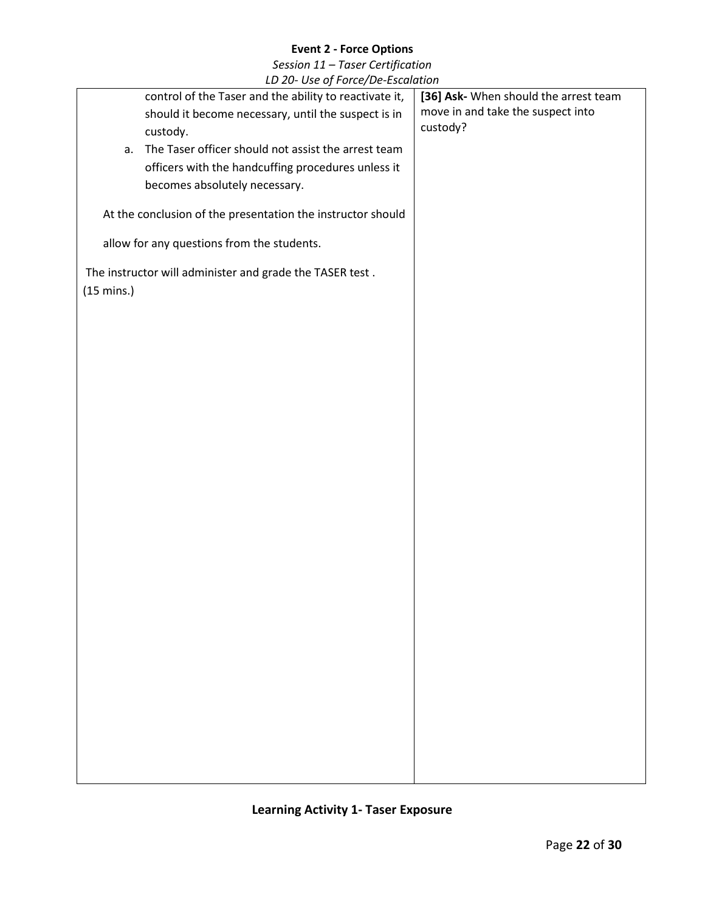*Session 11 – Taser Certification LD 20- Use of Force/De-Escalation*

|                      | LD 20- USE Of FOrce/De-Escalation                           |                                       |
|----------------------|-------------------------------------------------------------|---------------------------------------|
|                      | control of the Taser and the ability to reactivate it,      | [36] Ask- When should the arrest team |
|                      | should it become necessary, until the suspect is in         | move in and take the suspect into     |
|                      | custody.                                                    | custody?                              |
| a.                   | The Taser officer should not assist the arrest team         |                                       |
|                      | officers with the handcuffing procedures unless it          |                                       |
|                      | becomes absolutely necessary.                               |                                       |
|                      |                                                             |                                       |
|                      | At the conclusion of the presentation the instructor should |                                       |
|                      | allow for any questions from the students.                  |                                       |
|                      | The instructor will administer and grade the TASER test.    |                                       |
| $(15 \text{ mins.})$ |                                                             |                                       |
|                      |                                                             |                                       |
|                      |                                                             |                                       |
|                      |                                                             |                                       |
|                      |                                                             |                                       |
|                      |                                                             |                                       |
|                      |                                                             |                                       |
|                      |                                                             |                                       |
|                      |                                                             |                                       |
|                      |                                                             |                                       |
|                      |                                                             |                                       |
|                      |                                                             |                                       |
|                      |                                                             |                                       |
|                      |                                                             |                                       |
|                      |                                                             |                                       |
|                      |                                                             |                                       |
|                      |                                                             |                                       |
|                      |                                                             |                                       |
|                      |                                                             |                                       |
|                      |                                                             |                                       |
|                      |                                                             |                                       |
|                      |                                                             |                                       |
|                      |                                                             |                                       |
|                      |                                                             |                                       |
|                      |                                                             |                                       |
|                      |                                                             |                                       |
|                      |                                                             |                                       |
|                      |                                                             |                                       |
|                      |                                                             |                                       |
|                      |                                                             |                                       |

# **Learning Activity 1- Taser Exposure**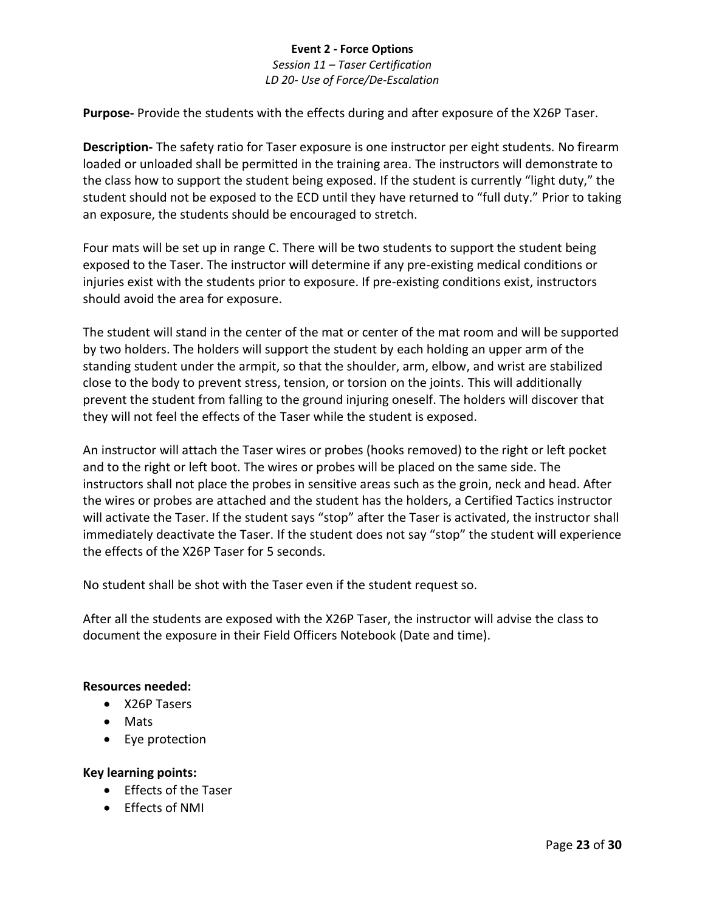*Session 11 – Taser Certification LD 20- Use of Force/De-Escalation*

**Purpose-** Provide the students with the effects during and after exposure of the X26P Taser.

**Description-** The safety ratio for Taser exposure is one instructor per eight students. No firearm loaded or unloaded shall be permitted in the training area. The instructors will demonstrate to the class how to support the student being exposed. If the student is currently "light duty," the student should not be exposed to the ECD until they have returned to "full duty." Prior to taking an exposure, the students should be encouraged to stretch.

Four mats will be set up in range C. There will be two students to support the student being exposed to the Taser. The instructor will determine if any pre-existing medical conditions or injuries exist with the students prior to exposure. If pre-existing conditions exist, instructors should avoid the area for exposure.

The student will stand in the center of the mat or center of the mat room and will be supported by two holders. The holders will support the student by each holding an upper arm of the standing student under the armpit, so that the shoulder, arm, elbow, and wrist are stabilized close to the body to prevent stress, tension, or torsion on the joints. This will additionally prevent the student from falling to the ground injuring oneself. The holders will discover that they will not feel the effects of the Taser while the student is exposed.

An instructor will attach the Taser wires or probes (hooks removed) to the right or left pocket and to the right or left boot. The wires or probes will be placed on the same side. The instructors shall not place the probes in sensitive areas such as the groin, neck and head. After the wires or probes are attached and the student has the holders, a Certified Tactics instructor will activate the Taser. If the student says "stop" after the Taser is activated, the instructor shall immediately deactivate the Taser. If the student does not say "stop" the student will experience the effects of the X26P Taser for 5 seconds.

No student shall be shot with the Taser even if the student request so.

After all the students are exposed with the X26P Taser, the instructor will advise the class to document the exposure in their Field Officers Notebook (Date and time).

#### **Resources needed:**

- X26P Tasers
- Mats
- Eye protection

#### **Key learning points:**

- Effects of the Taser
- Effects of NMI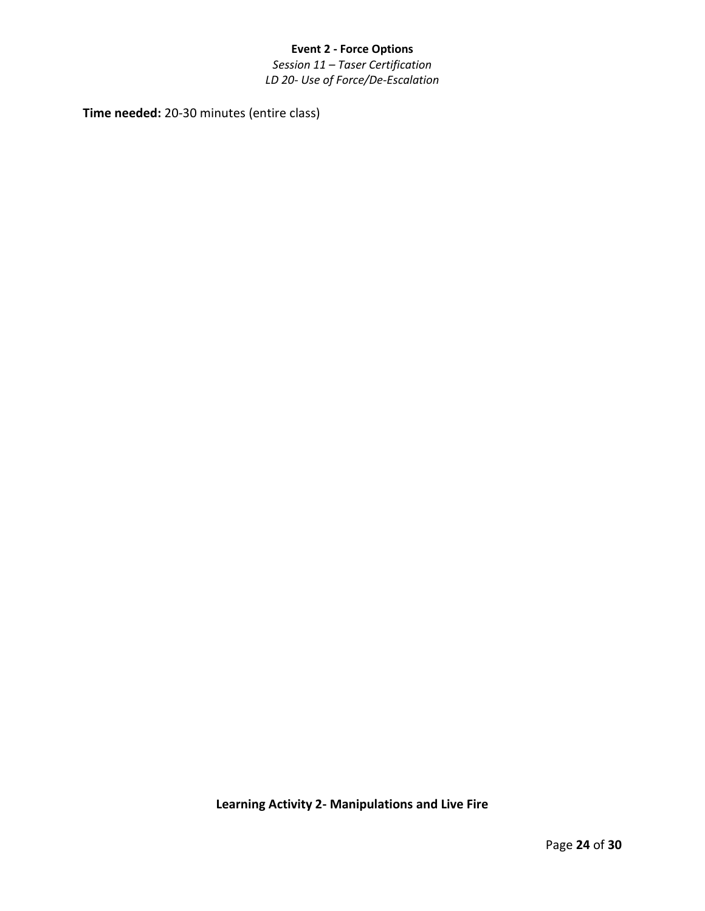*Session 11 – Taser Certification LD 20- Use of Force/De-Escalation*

**Time needed:** 20-30 minutes (entire class)

**Learning Activity 2- Manipulations and Live Fire**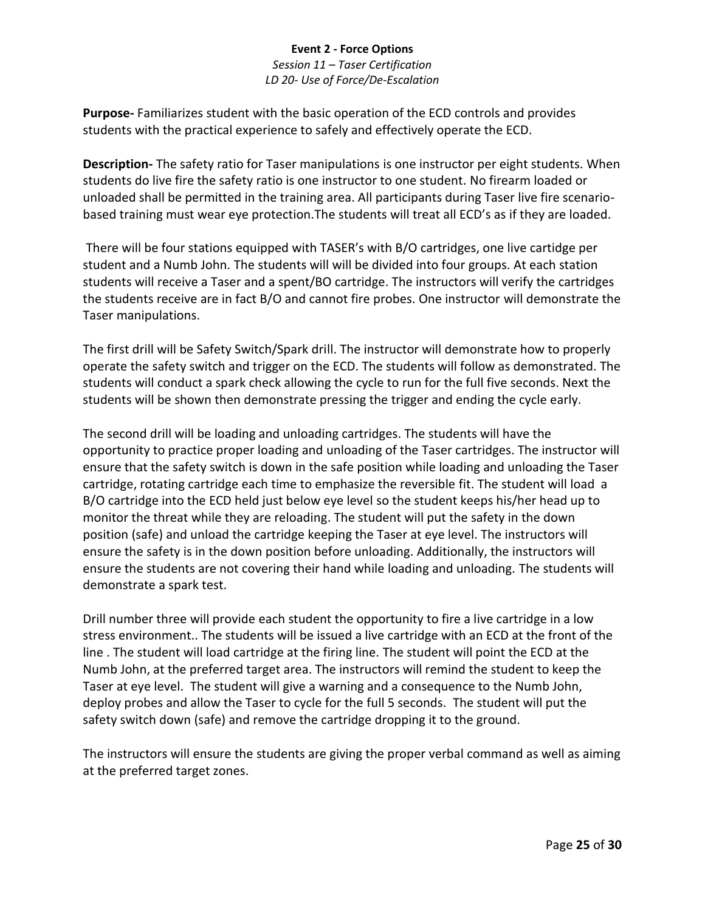*Session 11 – Taser Certification LD 20- Use of Force/De-Escalation*

**Purpose-** Familiarizes student with the basic operation of the ECD controls and provides students with the practical experience to safely and effectively operate the ECD.

**Description-** The safety ratio for Taser manipulations is one instructor per eight students. When students do live fire the safety ratio is one instructor to one student. No firearm loaded or unloaded shall be permitted in the training area. All participants during Taser live fire scenariobased training must wear eye protection.The students will treat all ECD's as if they are loaded.

There will be four stations equipped with TASER's with B/O cartridges, one live cartidge per student and a Numb John. The students will will be divided into four groups. At each station students will receive a Taser and a spent/BO cartridge. The instructors will verify the cartridges the students receive are in fact B/O and cannot fire probes. One instructor will demonstrate the Taser manipulations.

The first drill will be Safety Switch/Spark drill. The instructor will demonstrate how to properly operate the safety switch and trigger on the ECD. The students will follow as demonstrated. The students will conduct a spark check allowing the cycle to run for the full five seconds. Next the students will be shown then demonstrate pressing the trigger and ending the cycle early.

The second drill will be loading and unloading cartridges. The students will have the opportunity to practice proper loading and unloading of the Taser cartridges. The instructor will ensure that the safety switch is down in the safe position while loading and unloading the Taser cartridge, rotating cartridge each time to emphasize the reversible fit. The student will load a B/O cartridge into the ECD held just below eye level so the student keeps his/her head up to monitor the threat while they are reloading. The student will put the safety in the down position (safe) and unload the cartridge keeping the Taser at eye level. The instructors will ensure the safety is in the down position before unloading. Additionally, the instructors will ensure the students are not covering their hand while loading and unloading. The students will demonstrate a spark test.

Drill number three will provide each student the opportunity to fire a live cartridge in a low stress environment.. The students will be issued a live cartridge with an ECD at the front of the line . The student will load cartridge at the firing line. The student will point the ECD at the Numb John, at the preferred target area. The instructors will remind the student to keep the Taser at eye level. The student will give a warning and a consequence to the Numb John, deploy probes and allow the Taser to cycle for the full 5 seconds. The student will put the safety switch down (safe) and remove the cartridge dropping it to the ground.

The instructors will ensure the students are giving the proper verbal command as well as aiming at the preferred target zones.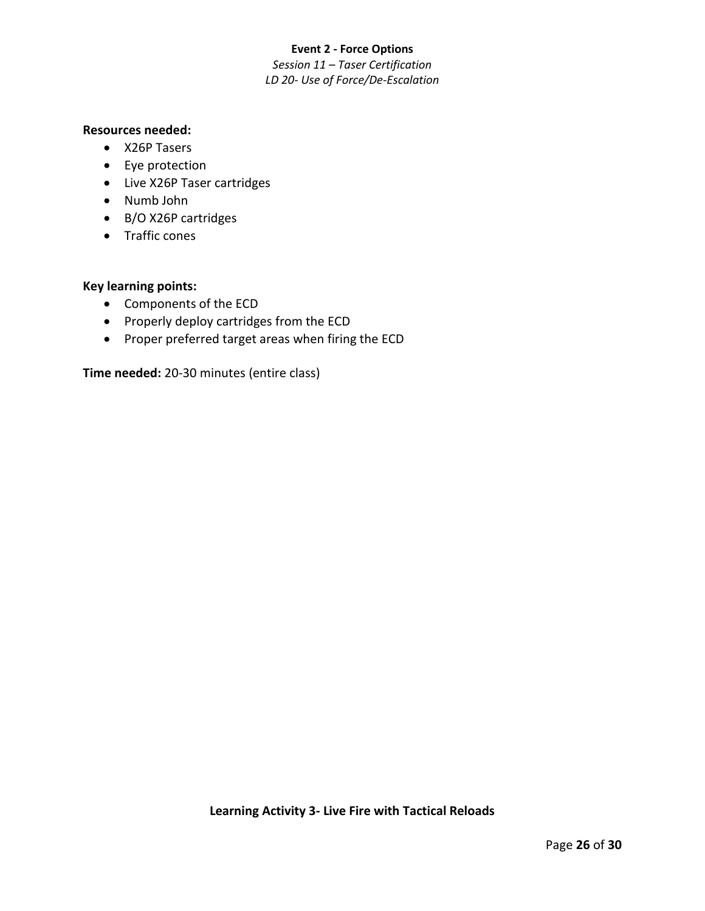#### **Event 2 - Force Options** *Session 11 – Taser Certification LD 20- Use of Force/De-Escalation*

#### **Resources needed:**

- X26P Tasers
- Eye protection
- Live X26P Taser cartridges
- Numb John
- B/O X26P cartridges
- Traffic cones

#### **Key learning points:**

- Components of the ECD
- Properly deploy cartridges from the ECD
- Proper preferred target areas when firing the ECD

**Time needed:** 20-30 minutes (entire class)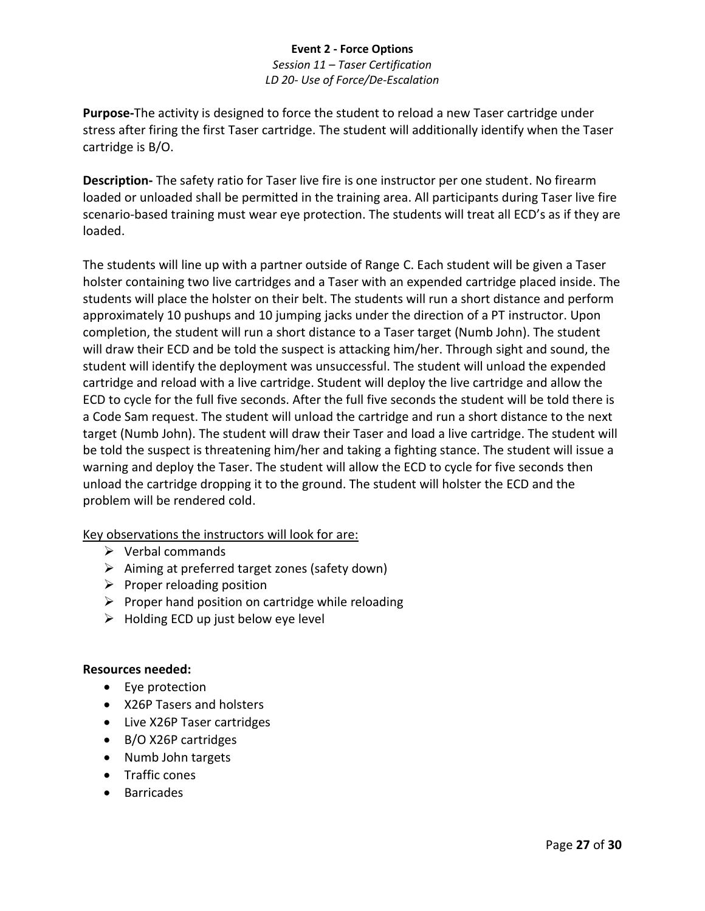*Session 11 – Taser Certification LD 20- Use of Force/De-Escalation*

**Purpose-**The activity is designed to force the student to reload a new Taser cartridge under stress after firing the first Taser cartridge. The student will additionally identify when the Taser cartridge is B/O.

**Description-** The safety ratio for Taser live fire is one instructor per one student. No firearm loaded or unloaded shall be permitted in the training area. All participants during Taser live fire scenario-based training must wear eye protection. The students will treat all ECD's as if they are loaded.

The students will line up with a partner outside of Range C. Each student will be given a Taser holster containing two live cartridges and a Taser with an expended cartridge placed inside. The students will place the holster on their belt. The students will run a short distance and perform approximately 10 pushups and 10 jumping jacks under the direction of a PT instructor. Upon completion, the student will run a short distance to a Taser target (Numb John). The student will draw their ECD and be told the suspect is attacking him/her. Through sight and sound, the student will identify the deployment was unsuccessful. The student will unload the expended cartridge and reload with a live cartridge. Student will deploy the live cartridge and allow the ECD to cycle for the full five seconds. After the full five seconds the student will be told there is a Code Sam request. The student will unload the cartridge and run a short distance to the next target (Numb John). The student will draw their Taser and load a live cartridge. The student will be told the suspect is threatening him/her and taking a fighting stance. The student will issue a warning and deploy the Taser. The student will allow the ECD to cycle for five seconds then unload the cartridge dropping it to the ground. The student will holster the ECD and the problem will be rendered cold.

Key observations the instructors will look for are:

- ➢ Verbal commands
- ➢ Aiming at preferred target zones (safety down)
- $\triangleright$  Proper reloading position
- $\triangleright$  Proper hand position on cartridge while reloading
- $\triangleright$  Holding ECD up just below eye level

#### **Resources needed:**

- Eye protection
- X26P Tasers and holsters
- Live X26P Taser cartridges
- B/O X26P cartridges
- Numb John targets
- Traffic cones
- Barricades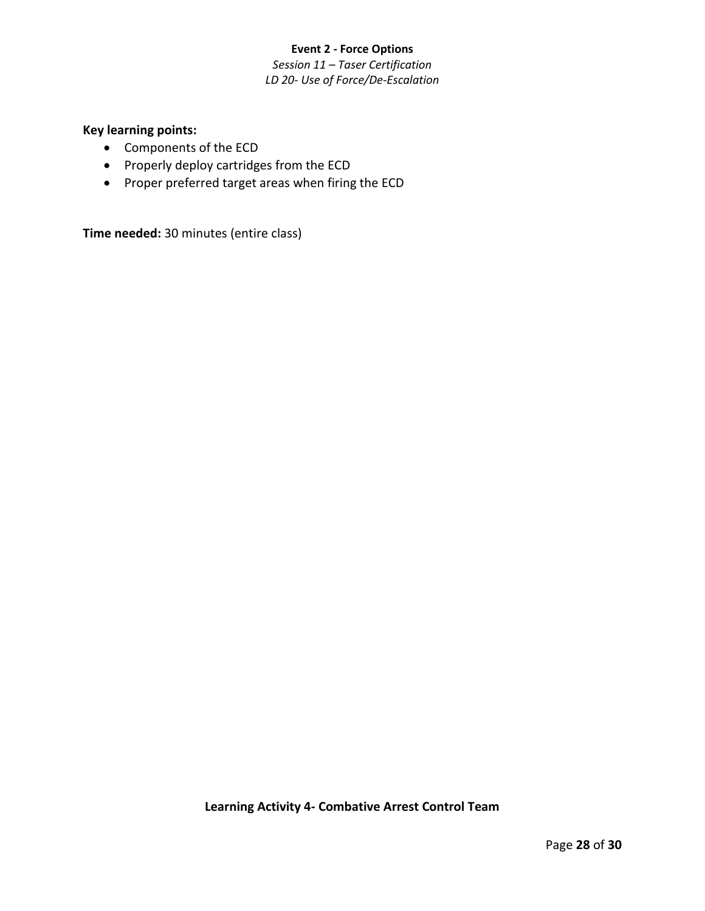#### **Event 2 - Force Options** *Session 11 – Taser Certification LD 20- Use of Force/De-Escalation*

# **Key learning points:**

- Components of the ECD
- Properly deploy cartridges from the ECD
- Proper preferred target areas when firing the ECD

**Time needed:** 30 minutes (entire class)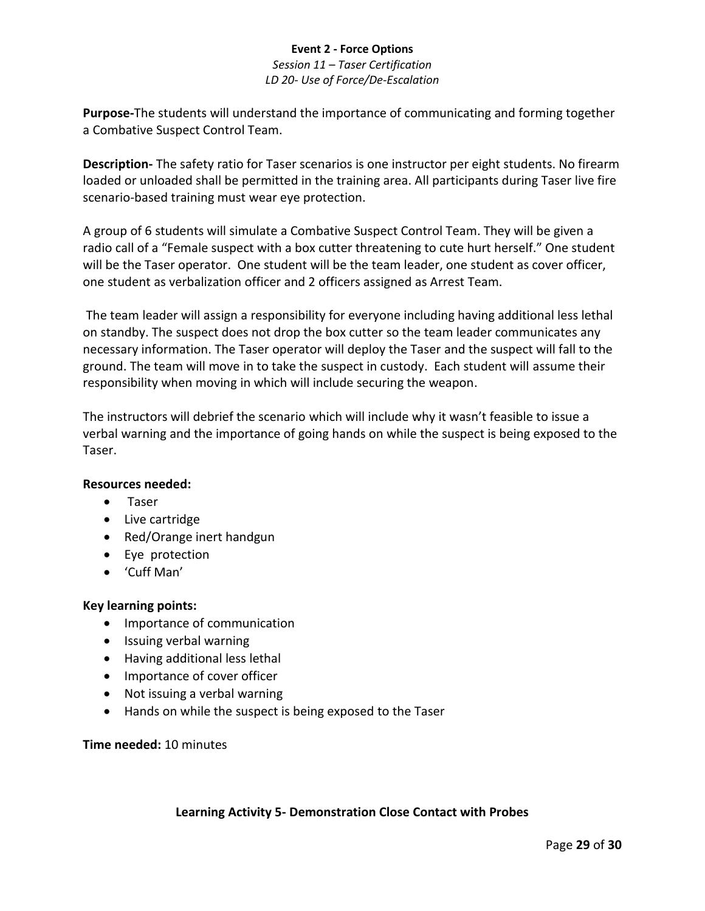*Session 11 – Taser Certification LD 20- Use of Force/De-Escalation*

**Purpose-**The students will understand the importance of communicating and forming together a Combative Suspect Control Team.

**Description-** The safety ratio for Taser scenarios is one instructor per eight students. No firearm loaded or unloaded shall be permitted in the training area. All participants during Taser live fire scenario-based training must wear eye protection.

A group of 6 students will simulate a Combative Suspect Control Team. They will be given a radio call of a "Female suspect with a box cutter threatening to cute hurt herself." One student will be the Taser operator. One student will be the team leader, one student as cover officer, one student as verbalization officer and 2 officers assigned as Arrest Team.

The team leader will assign a responsibility for everyone including having additional less lethal on standby. The suspect does not drop the box cutter so the team leader communicates any necessary information. The Taser operator will deploy the Taser and the suspect will fall to the ground. The team will move in to take the suspect in custody. Each student will assume their responsibility when moving in which will include securing the weapon.

The instructors will debrief the scenario which will include why it wasn't feasible to issue a verbal warning and the importance of going hands on while the suspect is being exposed to the Taser.

#### **Resources needed:**

- Taser
- Live cartridge
- Red/Orange inert handgun
- Eye protection
- 'Cuff Man'

#### **Key learning points:**

- Importance of communication
- Issuing verbal warning
- Having additional less lethal
- Importance of cover officer
- Not issuing a verbal warning
- Hands on while the suspect is being exposed to the Taser

#### **Time needed:** 10 minutes

# **Learning Activity 5- Demonstration Close Contact with Probes**